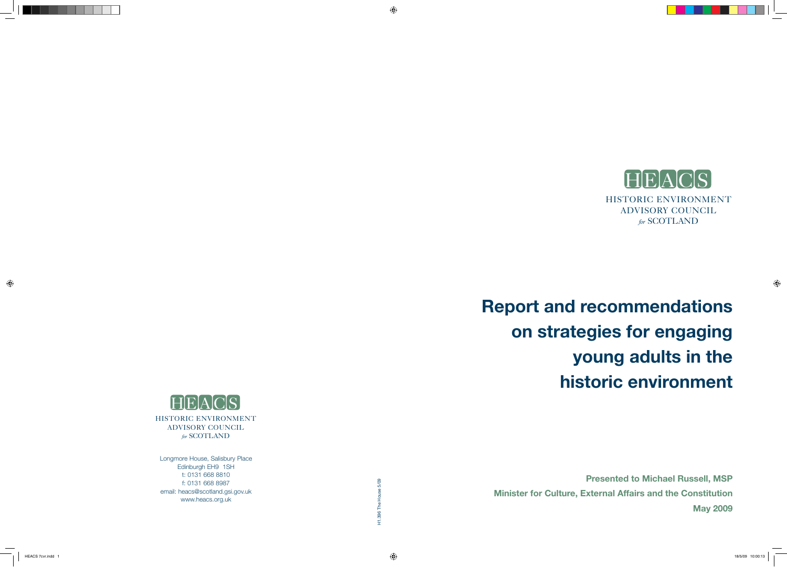

# **Report and recommendations on strategies for engaging young adults in the historic environment**

**Presented to Michael Russell, MSP Minister for Culture, External Affairs and the Constitution May 2009**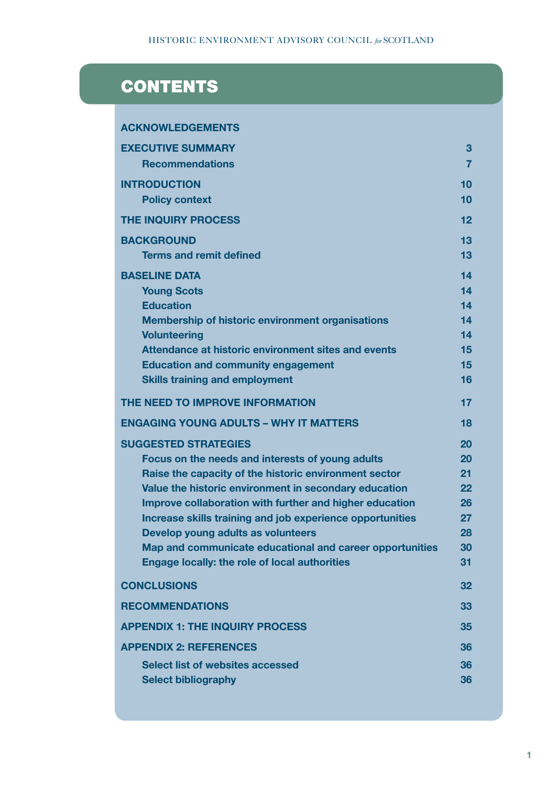# **CONTENTS**

| <b>ACKNOWLEDGEMENTS</b>                                                                         |                   |
|-------------------------------------------------------------------------------------------------|-------------------|
| <b>EXECUTIVE SUMMARY</b>                                                                        | 3                 |
| <b>Recommendations</b>                                                                          | $\overline{7}$    |
| <b>INTRODUCTION</b>                                                                             | 10                |
| <b>Policy context</b>                                                                           | 10                |
| <b>THE INQUIRY PROCESS</b>                                                                      | 12                |
| <b>BACKGROUND</b>                                                                               | 13                |
| <b>Terms and remit defined</b>                                                                  | 13                |
| <b>BASELINE DATA</b>                                                                            | 14                |
| <b>Young Scots</b>                                                                              | 14                |
| <b>Education</b>                                                                                | 14                |
| <b>Membership of historic environment organisations</b>                                         | 14                |
| <b>Volunteering</b><br>Attendance at historic environment sites and events                      | 14                |
| <b>Education and community engagement</b>                                                       | 15<br>15          |
| <b>Skills training and employment</b>                                                           | 16                |
|                                                                                                 |                   |
| THE NEED TO IMPROVE INFORMATION                                                                 | 17                |
| <b>ENGAGING YOUNG ADULTS - WHY IT MATTERS</b>                                                   | 18                |
| <b>SUGGESTED STRATEGIES</b>                                                                     | 20                |
| Focus on the needs and interests of young adults                                                | 20                |
| Raise the capacity of the historic environment sector                                           | 21                |
| Value the historic environment in secondary education                                           | $22 \overline{)}$ |
| Improve collaboration with further and higher education                                         | 26<br>27          |
| Increase skills training and job experience opportunities<br>Develop young adults as volunteers | 28                |
| Map and communicate educational and career opportunities                                        | 30                |
| <b>Engage locally: the role of local authorities</b>                                            | 31                |
| <b>CONCLUSIONS</b>                                                                              | 32                |
| <b>RECOMMENDATIONS</b>                                                                          | 33                |
| <b>APPENDIX 1: THE INQUIRY PROCESS</b>                                                          | 35                |
| <b>APPENDIX 2: REFERENCES</b>                                                                   | 36                |
| <b>Select list of websites accessed</b>                                                         | 36                |
| <b>Select bibliography</b>                                                                      | 36                |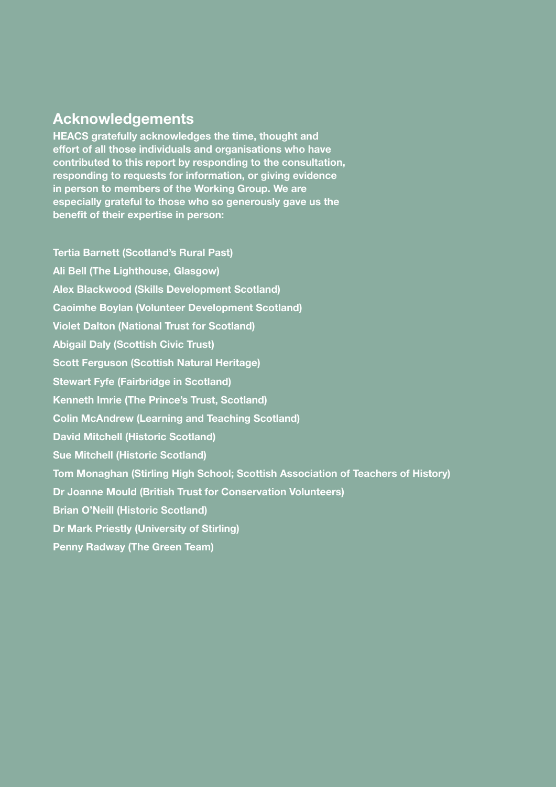# **Acknowledgements**

**HEACS gratefully acknowledges the time, thought and effort of all those individuals and organisations who have contributed to this report by responding to the consultation, responding to requests for information, or giving evidence in person to members of the Working Group. We are especially grateful to those who so generously gave us the benefit of their expertise in person:**

**Tertia Barnett (Scotland's Rural Past) Ali Bell (The Lighthouse, Glasgow) Alex Blackwood (Skills Development Scotland) Caoimhe Boylan (Volunteer Development Scotland) Violet Dalton (National Trust for Scotland) Abigail Daly (Scottish Civic Trust) Scott Ferguson (Scottish Natural Heritage) Stewart Fyfe (Fairbridge in Scotland) Kenneth Imrie (The Prince's Trust, Scotland) Colin McAndrew (Learning and Teaching Scotland) David Mitchell (Historic Scotland) Sue Mitchell (Historic Scotland) Tom Monaghan (Stirling High School; Scottish Association of Teachers of History) Dr Joanne Mould (British Trust for Conservation Volunteers) Brian O'Neill (Historic Scotland) Dr Mark Priestly (University of Stirling) Penny Radway (The Green Team)**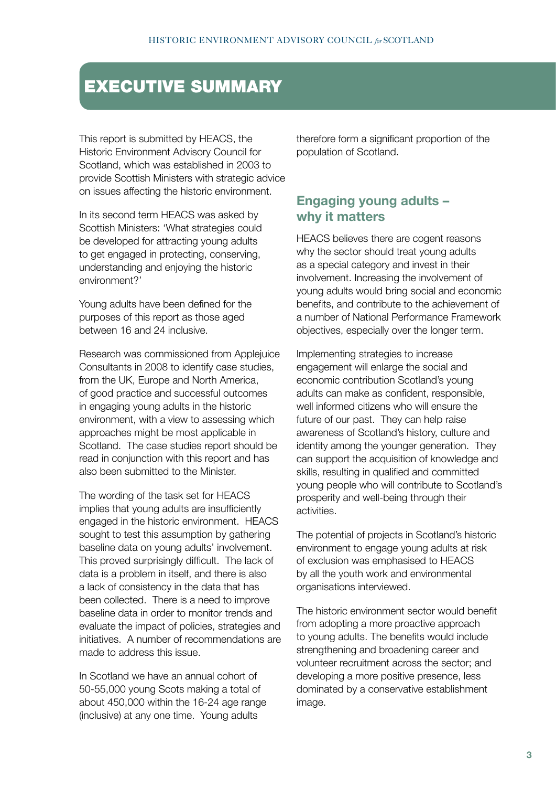# EXECUTIVE SUMMARY

This report is submitted by HEACS, the Historic Environment Advisory Council for Scotland, which was established in 2003 to provide Scottish Ministers with strategic advice on issues affecting the historic environment.

In its second term HEACS was asked by Scottish Ministers: 'What strategies could be developed for attracting young adults to get engaged in protecting, conserving, understanding and enjoying the historic environment?'

Young adults have been defined for the purposes of this report as those aged between 16 and 24 inclusive.

Research was commissioned from Applejuice Consultants in 2008 to identify case studies, from the UK, Europe and North America, of good practice and successful outcomes in engaging young adults in the historic environment, with a view to assessing which approaches might be most applicable in Scotland. The case studies report should be read in conjunction with this report and has also been submitted to the Minister.

The wording of the task set for HEACS implies that young adults are insufficiently engaged in the historic environment. HEACS sought to test this assumption by gathering baseline data on young adults' involvement. This proved surprisingly difficult. The lack of data is a problem in itself, and there is also a lack of consistency in the data that has been collected. There is a need to improve baseline data in order to monitor trends and evaluate the impact of policies, strategies and initiatives. A number of recommendations are made to address this issue.

In Scotland we have an annual cohort of 50-55,000 young Scots making a total of about 450,000 within the 16-24 age range (inclusive) at any one time. Young adults

therefore form a significant proportion of the population of Scotland.

### **Engaging young adults – why it matters**

HEACS believes there are cogent reasons why the sector should treat young adults as a special category and invest in their involvement. Increasing the involvement of young adults would bring social and economic benefits, and contribute to the achievement of a number of National Performance Framework objectives, especially over the longer term.

Implementing strategies to increase engagement will enlarge the social and economic contribution Scotland's young adults can make as confident, responsible, well informed citizens who will ensure the future of our past. They can help raise awareness of Scotland's history, culture and identity among the younger generation. They can support the acquisition of knowledge and skills, resulting in qualified and committed young people who will contribute to Scotland's prosperity and well-being through their activities.

The potential of projects in Scotland's historic environment to engage young adults at risk of exclusion was emphasised to HEACS by all the youth work and environmental organisations interviewed.

The historic environment sector would benefit from adopting a more proactive approach to young adults. The benefits would include strengthening and broadening career and volunteer recruitment across the sector; and developing a more positive presence, less dominated by a conservative establishment image.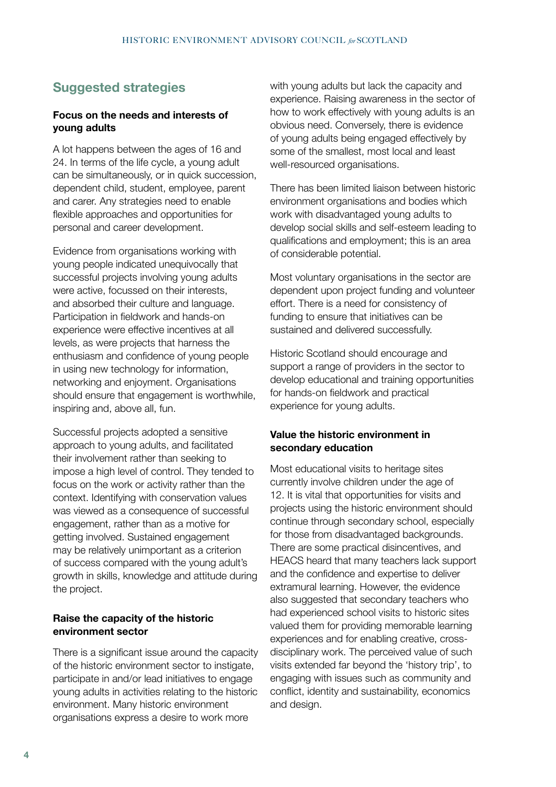# **Suggested strategies**

#### **Focus on the needs and interests of young adults**

A lot happens between the ages of 16 and 24. In terms of the life cycle, a young adult can be simultaneously, or in quick succession, dependent child, student, employee, parent and carer. Any strategies need to enable flexible approaches and opportunities for personal and career development.

Evidence from organisations working with young people indicated unequivocally that successful projects involving young adults were active, focussed on their interests, and absorbed their culture and language. Participation in fieldwork and hands-on experience were effective incentives at all levels, as were projects that harness the enthusiasm and confidence of young people in using new technology for information, networking and enjoyment. Organisations should ensure that engagement is worthwhile, inspiring and, above all, fun.

Successful projects adopted a sensitive approach to young adults, and facilitated their involvement rather than seeking to impose a high level of control. They tended to focus on the work or activity rather than the context. Identifying with conservation values was viewed as a consequence of successful engagement, rather than as a motive for getting involved. Sustained engagement may be relatively unimportant as a criterion of success compared with the young adult's growth in skills, knowledge and attitude during the project.

#### **Raise the capacity of the historic environment sector**

There is a significant issue around the capacity of the historic environment sector to instigate, participate in and/or lead initiatives to engage young adults in activities relating to the historic environment. Many historic environment organisations express a desire to work more

with young adults but lack the capacity and experience. Raising awareness in the sector of how to work effectively with young adults is an obvious need. Conversely, there is evidence of young adults being engaged effectively by some of the smallest, most local and least well-resourced organisations.

There has been limited liaison between historic environment organisations and bodies which work with disadvantaged young adults to develop social skills and self-esteem leading to qualifications and employment; this is an area of considerable potential.

Most voluntary organisations in the sector are dependent upon project funding and volunteer effort. There is a need for consistency of funding to ensure that initiatives can be sustained and delivered successfully.

Historic Scotland should encourage and support a range of providers in the sector to develop educational and training opportunities for hands-on fieldwork and practical experience for young adults.

#### **Value the historic environment in secondary education**

Most educational visits to heritage sites currently involve children under the age of 12. It is vital that opportunities for visits and projects using the historic environment should continue through secondary school, especially for those from disadvantaged backgrounds. There are some practical disincentives, and HEACS heard that many teachers lack support and the confidence and expertise to deliver extramural learning. However, the evidence also suggested that secondary teachers who had experienced school visits to historic sites valued them for providing memorable learning experiences and for enabling creative, crossdisciplinary work. The perceived value of such visits extended far beyond the 'history trip', to engaging with issues such as community and conflict, identity and sustainability, economics and design.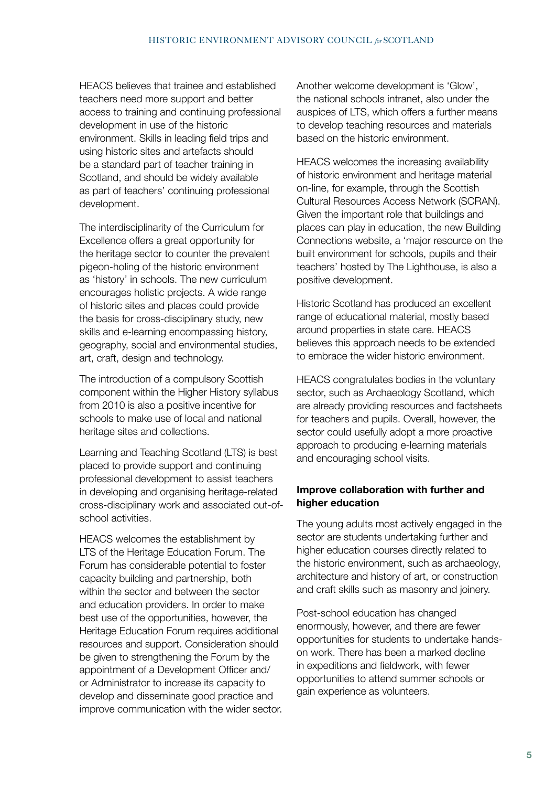HEACS believes that trainee and established teachers need more support and better access to training and continuing professional development in use of the historic environment. Skills in leading field trips and using historic sites and artefacts should be a standard part of teacher training in Scotland, and should be widely available as part of teachers' continuing professional development.

The interdisciplinarity of the Curriculum for Excellence offers a great opportunity for the heritage sector to counter the prevalent pigeon-holing of the historic environment as 'history' in schools. The new curriculum encourages holistic projects. A wide range of historic sites and places could provide the basis for cross-disciplinary study, new skills and e-learning encompassing history, geography, social and environmental studies, art, craft, design and technology.

The introduction of a compulsory Scottish component within the Higher History syllabus from 2010 is also a positive incentive for schools to make use of local and national heritage sites and collections.

Learning and Teaching Scotland (LTS) is best placed to provide support and continuing professional development to assist teachers in developing and organising heritage-related cross-disciplinary work and associated out-ofschool activities.

HEACS welcomes the establishment by LTS of the Heritage Education Forum. The Forum has considerable potential to foster capacity building and partnership, both within the sector and between the sector and education providers. In order to make best use of the opportunities, however, the Heritage Education Forum requires additional resources and support. Consideration should be given to strengthening the Forum by the appointment of a Development Officer and/ or Administrator to increase its capacity to develop and disseminate good practice and improve communication with the wider sector. Another welcome development is 'Glow', the national schools intranet, also under the auspices of LTS, which offers a further means to develop teaching resources and materials based on the historic environment.

HEACS welcomes the increasing availability of historic environment and heritage material on-line, for example, through the Scottish Cultural Resources Access Network (SCRAN). Given the important role that buildings and places can play in education, the new Building Connections website, a 'major resource on the built environment for schools, pupils and their teachers' hosted by The Lighthouse, is also a positive development.

Historic Scotland has produced an excellent range of educational material, mostly based around properties in state care. HEACS believes this approach needs to be extended to embrace the wider historic environment.

HEACS congratulates bodies in the voluntary sector, such as Archaeology Scotland, which are already providing resources and factsheets for teachers and pupils. Overall, however, the sector could usefully adopt a more proactive approach to producing e-learning materials and encouraging school visits.

#### **Improve collaboration with further and higher education**

The young adults most actively engaged in the sector are students undertaking further and higher education courses directly related to the historic environment, such as archaeology, architecture and history of art, or construction and craft skills such as masonry and joinery.

Post-school education has changed enormously, however, and there are fewer opportunities for students to undertake handson work. There has been a marked decline in expeditions and fieldwork, with fewer opportunities to attend summer schools or gain experience as volunteers.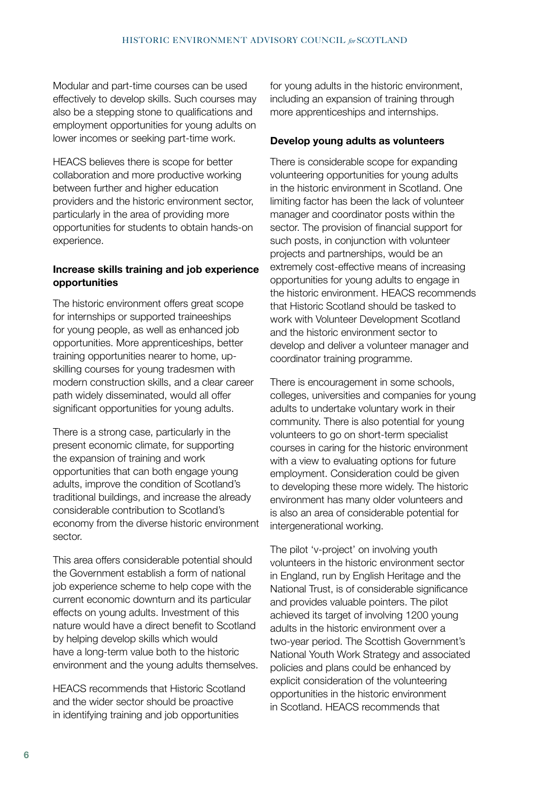Modular and part-time courses can be used effectively to develop skills. Such courses may also be a stepping stone to qualifications and employment opportunities for young adults on lower incomes or seeking part-time work.

HEACS believes there is scope for better collaboration and more productive working between further and higher education providers and the historic environment sector, particularly in the area of providing more opportunities for students to obtain hands-on experience.

#### **Increase skills training and job experience opportunities**

The historic environment offers great scope for internships or supported traineeships for young people, as well as enhanced job opportunities. More apprenticeships, better training opportunities nearer to home, upskilling courses for young tradesmen with modern construction skills, and a clear career path widely disseminated, would all offer significant opportunities for young adults.

There is a strong case, particularly in the present economic climate, for supporting the expansion of training and work opportunities that can both engage young adults, improve the condition of Scotland's traditional buildings, and increase the already considerable contribution to Scotland's economy from the diverse historic environment sector.

This area offers considerable potential should the Government establish a form of national job experience scheme to help cope with the current economic downturn and its particular effects on young adults. Investment of this nature would have a direct benefit to Scotland by helping develop skills which would have a long-term value both to the historic environment and the young adults themselves.

HEACS recommends that Historic Scotland and the wider sector should be proactive in identifying training and job opportunities

for young adults in the historic environment, including an expansion of training through more apprenticeships and internships.

#### **Develop young adults as volunteers**

There is considerable scope for expanding volunteering opportunities for young adults in the historic environment in Scotland. One limiting factor has been the lack of volunteer manager and coordinator posts within the sector. The provision of financial support for such posts, in conjunction with volunteer projects and partnerships, would be an extremely cost-effective means of increasing opportunities for young adults to engage in the historic environment. HEACS recommends that Historic Scotland should be tasked to work with Volunteer Development Scotland and the historic environment sector to develop and deliver a volunteer manager and coordinator training programme.

There is encouragement in some schools, colleges, universities and companies for young adults to undertake voluntary work in their community. There is also potential for young volunteers to go on short-term specialist courses in caring for the historic environment with a view to evaluating options for future employment. Consideration could be given to developing these more widely. The historic environment has many older volunteers and is also an area of considerable potential for intergenerational working.

The pilot 'v-project' on involving youth volunteers in the historic environment sector in England, run by English Heritage and the National Trust, is of considerable significance and provides valuable pointers. The pilot achieved its target of involving 1200 young adults in the historic environment over a two-year period. The Scottish Government's National Youth Work Strategy and associated policies and plans could be enhanced by explicit consideration of the volunteering opportunities in the historic environment in Scotland. HEACS recommends that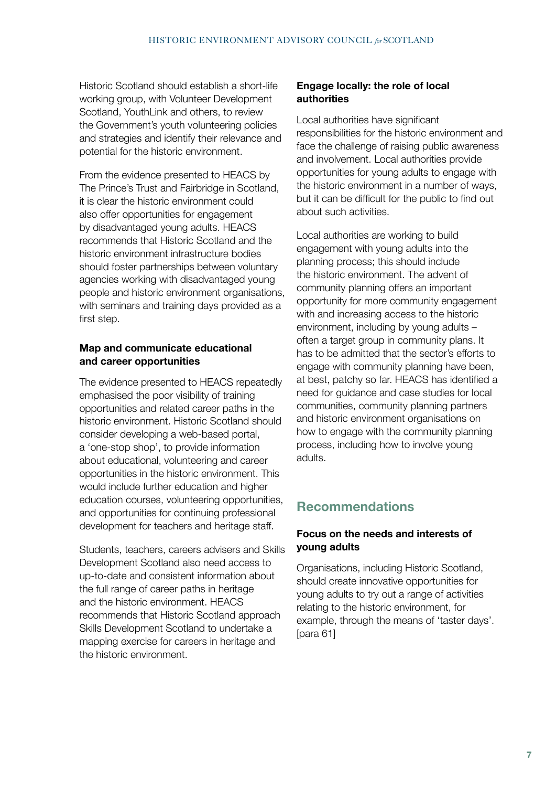Historic Scotland should establish a short-life working group, with Volunteer Development Scotland, YouthLink and others, to review the Government's youth volunteering policies and strategies and identify their relevance and potential for the historic environment.

From the evidence presented to HEACS by The Prince's Trust and Fairbridge in Scotland, it is clear the historic environment could also offer opportunities for engagement by disadvantaged young adults. HEACS recommends that Historic Scotland and the historic environment infrastructure bodies should foster partnerships between voluntary agencies working with disadvantaged young people and historic environment organisations, with seminars and training days provided as a first step.

#### **Map and communicate educational and career opportunities**

The evidence presented to HEACS repeatedly emphasised the poor visibility of training opportunities and related career paths in the historic environment. Historic Scotland should consider developing a web-based portal, a 'one-stop shop', to provide information about educational, volunteering and career opportunities in the historic environment. This would include further education and higher education courses, volunteering opportunities, and opportunities for continuing professional development for teachers and heritage staff.

Students, teachers, careers advisers and Skills Development Scotland also need access to up-to-date and consistent information about the full range of career paths in heritage and the historic environment. HEACS recommends that Historic Scotland approach Skills Development Scotland to undertake a mapping exercise for careers in heritage and the historic environment.

#### **Engage locally: the role of local authorities**

Local authorities have significant responsibilities for the historic environment and face the challenge of raising public awareness and involvement. Local authorities provide opportunities for young adults to engage with the historic environment in a number of ways, but it can be difficult for the public to find out about such activities.

Local authorities are working to build engagement with young adults into the planning process; this should include the historic environment. The advent of community planning offers an important opportunity for more community engagement with and increasing access to the historic environment, including by young adults – often a target group in community plans. It has to be admitted that the sector's efforts to engage with community planning have been, at best, patchy so far. HEACS has identified a need for guidance and case studies for local communities, community planning partners and historic environment organisations on how to engage with the community planning process, including how to involve young adults.

### **Recommendations**

#### **Focus on the needs and interests of young adults**

Organisations, including Historic Scotland, should create innovative opportunities for young adults to try out a range of activities relating to the historic environment, for example, through the means of 'taster days'. [para 61]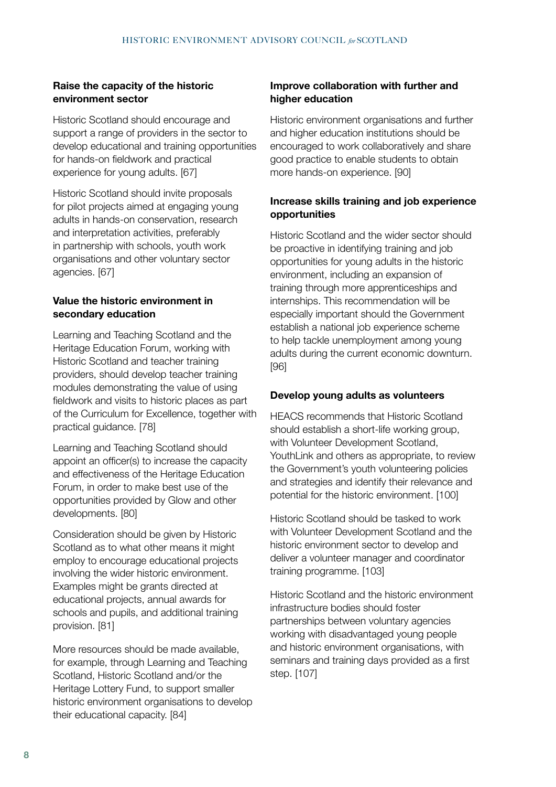#### **Raise the capacity of the historic environment sector**

Historic Scotland should encourage and support a range of providers in the sector to develop educational and training opportunities for hands-on fieldwork and practical experience for young adults. [67]

Historic Scotland should invite proposals for pilot projects aimed at engaging young adults in hands-on conservation, research and interpretation activities, preferably in partnership with schools, youth work organisations and other voluntary sector agencies. [67]

#### **Value the historic environment in secondary education**

Learning and Teaching Scotland and the Heritage Education Forum, working with Historic Scotland and teacher training providers, should develop teacher training modules demonstrating the value of using fieldwork and visits to historic places as part of the Curriculum for Excellence, together with practical guidance. [78]

Learning and Teaching Scotland should appoint an officer(s) to increase the capacity and effectiveness of the Heritage Education Forum, in order to make best use of the opportunities provided by Glow and other developments. [80]

Consideration should be given by Historic Scotland as to what other means it might employ to encourage educational projects involving the wider historic environment. Examples might be grants directed at educational projects, annual awards for schools and pupils, and additional training provision. [81]

More resources should be made available, for example, through Learning and Teaching Scotland, Historic Scotland and/or the Heritage Lottery Fund, to support smaller historic environment organisations to develop their educational capacity. [84]

#### **Improve collaboration with further and higher education**

Historic environment organisations and further and higher education institutions should be encouraged to work collaboratively and share good practice to enable students to obtain more hands-on experience. [90]

#### **Increase skills training and job experience opportunities**

Historic Scotland and the wider sector should be proactive in identifying training and job opportunities for young adults in the historic environment, including an expansion of training through more apprenticeships and internships. This recommendation will be especially important should the Government establish a national job experience scheme to help tackle unemployment among young adults during the current economic downturn. [96]

#### **Develop young adults as volunteers**

HEACS recommends that Historic Scotland should establish a short-life working group, with Volunteer Development Scotland, YouthLink and others as appropriate, to review the Government's youth volunteering policies and strategies and identify their relevance and potential for the historic environment. [100]

Historic Scotland should be tasked to work with Volunteer Development Scotland and the historic environment sector to develop and deliver a volunteer manager and coordinator training programme. [103]

Historic Scotland and the historic environment infrastructure bodies should foster partnerships between voluntary agencies working with disadvantaged young people and historic environment organisations, with seminars and training days provided as a first step. [107]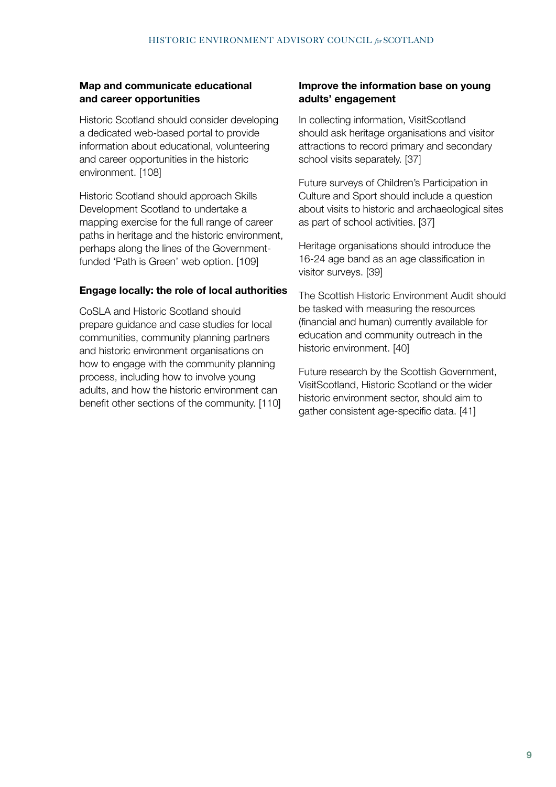#### **Map and communicate educational and career opportunities**

Historic Scotland should consider developing a dedicated web-based portal to provide information about educational, volunteering and career opportunities in the historic environment. [108]

Historic Scotland should approach Skills Development Scotland to undertake a mapping exercise for the full range of career paths in heritage and the historic environment, perhaps along the lines of the Governmentfunded 'Path is Green' web option. [109]

#### **Engage locally: the role of local authorities**

CoSLA and Historic Scotland should prepare guidance and case studies for local communities, community planning partners and historic environment organisations on how to engage with the community planning process, including how to involve young adults, and how the historic environment can benefit other sections of the community. [110]

#### **Improve the information base on young adults' engagement**

In collecting information, VisitScotland should ask heritage organisations and visitor attractions to record primary and secondary school visits separately. [37]

Future surveys of Children's Participation in Culture and Sport should include a question about visits to historic and archaeological sites as part of school activities. [37]

Heritage organisations should introduce the 16-24 age band as an age classification in visitor surveys. [39]

The Scottish Historic Environment Audit should be tasked with measuring the resources (financial and human) currently available for education and community outreach in the historic environment. [40]

Future research by the Scottish Government, VisitScotland, Historic Scotland or the wider historic environment sector, should aim to gather consistent age-specific data. [41]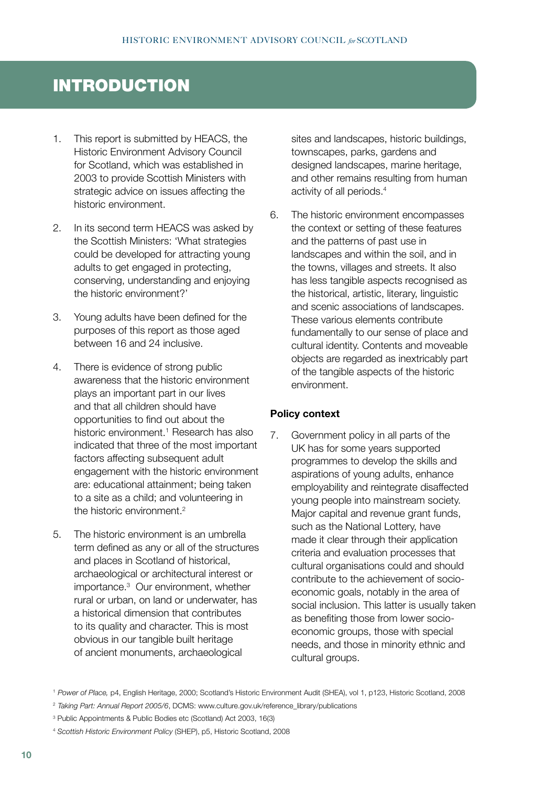# INTRODUCTION

- 1. This report is submitted by HEACS, the Historic Environment Advisory Council for Scotland, which was established in 2003 to provide Scottish Ministers with strategic advice on issues affecting the historic environment.
- 2. In its second term HEACS was asked by the Scottish Ministers: 'What strategies could be developed for attracting young adults to get engaged in protecting, conserving, understanding and enjoying the historic environment?'
- 3. Young adults have been defined for the purposes of this report as those aged between 16 and 24 inclusive.
- 4. There is evidence of strong public awareness that the historic environment plays an important part in our lives and that all children should have opportunities to find out about the historic environment.<sup>1</sup> Research has also indicated that three of the most important factors affecting subsequent adult engagement with the historic environment are: educational attainment; being taken to a site as a child; and volunteering in the historic environment.2
- 5. The historic environment is an umbrella term defined as any or all of the structures and places in Scotland of historical, archaeological or architectural interest or importance.3 Our environment, whether rural or urban, on land or underwater, has a historical dimension that contributes to its quality and character. This is most obvious in our tangible built heritage of ancient monuments, archaeological

sites and landscapes, historic buildings, townscapes, parks, gardens and designed landscapes, marine heritage, and other remains resulting from human activity of all periods.4

6. The historic environment encompasses the context or setting of these features and the patterns of past use in landscapes and within the soil, and in the towns, villages and streets. It also has less tangible aspects recognised as the historical, artistic, literary, linguistic and scenic associations of landscapes. These various elements contribute fundamentally to our sense of place and cultural identity. Contents and moveable objects are regarded as inextricably part of the tangible aspects of the historic environment.

#### **Policy context**

7. Government policy in all parts of the UK has for some years supported programmes to develop the skills and aspirations of young adults, enhance employability and reintegrate disaffected young people into mainstream society. Major capital and revenue grant funds, such as the National Lottery, have made it clear through their application criteria and evaluation processes that cultural organisations could and should contribute to the achievement of socioeconomic goals, notably in the area of social inclusion. This latter is usually taken as benefiting those from lower socioeconomic groups, those with special needs, and those in minority ethnic and cultural groups.

<sup>1</sup>*Power of Place,* p4, English Heritage, 2000; Scotland's Historic Environment Audit (SHEA), vol 1, p123, Historic Scotland, 2008

<sup>&</sup>lt;sup>2</sup> Taking Part: Annual Report 2005/6, DCMS: www.culture.gov.uk/reference\_library/publications

<sup>3</sup> Public Appointments & Public Bodies etc (Scotland) Act 2003, 16(3)

<sup>4</sup> *Scottish Historic Environment Policy* (SHEP), p5, Historic Scotland, 2008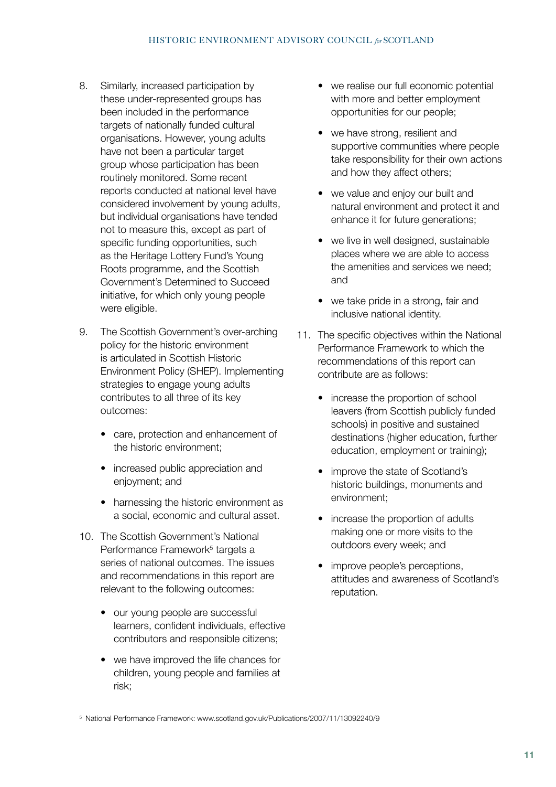- 8. Similarly, increased participation by these under-represented groups has been included in the performance targets of nationally funded cultural organisations. However, young adults have not been a particular target group whose participation has been routinely monitored. Some recent reports conducted at national level have considered involvement by young adults, but individual organisations have tended not to measure this, except as part of specific funding opportunities, such as the Heritage Lottery Fund's Young Roots programme, and the Scottish Government's Determined to Succeed initiative, for which only young people were eligible.
- 9. The Scottish Government's over-arching policy for the historic environment is articulated in Scottish Historic Environment Policy (SHEP). Implementing strategies to engage young adults contributes to all three of its key outcomes:
	- care, protection and enhancement of the historic environment;
	- increased public appreciation and enjoyment; and
	- harnessing the historic environment as a social, economic and cultural asset.
- 10. The Scottish Government's National Performance Framework<sup>5</sup> targets a series of national outcomes. The issues and recommendations in this report are relevant to the following outcomes:
	- our young people are successful learners, confident individuals, effective contributors and responsible citizens;
	- we have improved the life chances for children, young people and families at risk;
- we realise our full economic potential with more and better employment opportunities for our people;
- we have strong, resilient and supportive communities where people take responsibility for their own actions and how they affect others;
- we value and enjoy our built and natural environment and protect it and enhance it for future generations;
- we live in well designed, sustainable places where we are able to access the amenities and services we need; and
- we take pride in a strong, fair and inclusive national identity.
- 11. The specific objectives within the National Performance Framework to which the recommendations of this report can contribute are as follows:
	- increase the proportion of school leavers (from Scottish publicly funded schools) in positive and sustained destinations (higher education, further education, employment or training);
	- improve the state of Scotland's historic buildings, monuments and environment;
	- increase the proportion of adults making one or more visits to the outdoors every week; and
	- improve people's perceptions, attitudes and awareness of Scotland's reputation.

5 National Performance Framework: www.scotland.gov.uk/Publications/2007/11/13092240/9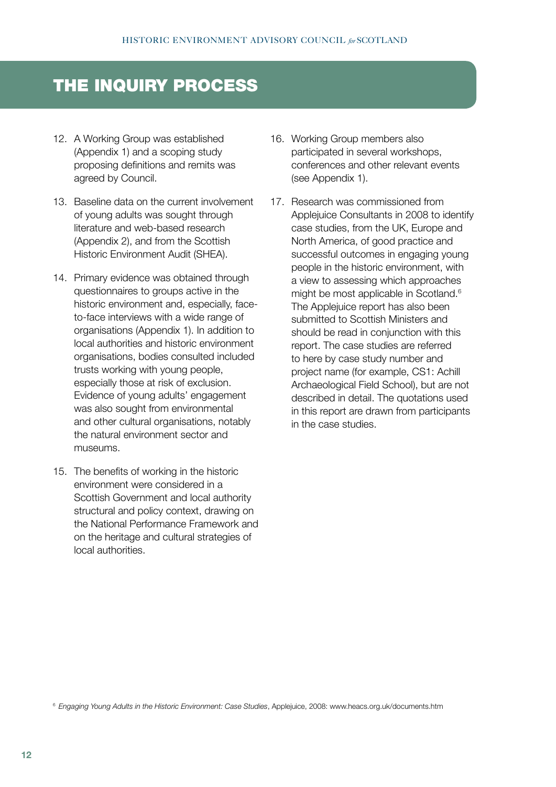# THE INQUIRY PROCESS

- 12. A Working Group was established (Appendix 1) and a scoping study proposing definitions and remits was agreed by Council.
- 13. Baseline data on the current involvement of young adults was sought through literature and web-based research (Appendix 2), and from the Scottish Historic Environment Audit (SHEA).
- 14. Primary evidence was obtained through questionnaires to groups active in the historic environment and, especially, faceto-face interviews with a wide range of organisations (Appendix 1). In addition to local authorities and historic environment organisations, bodies consulted included trusts working with young people, especially those at risk of exclusion. Evidence of young adults' engagement was also sought from environmental and other cultural organisations, notably the natural environment sector and museums.
- 15. The benefits of working in the historic environment were considered in a Scottish Government and local authority structural and policy context, drawing on the National Performance Framework and on the heritage and cultural strategies of local authorities.
- 16. Working Group members also participated in several workshops, conferences and other relevant events (see Appendix 1).
- 17. Research was commissioned from Applejuice Consultants in 2008 to identify case studies, from the UK, Europe and North America, of good practice and successful outcomes in engaging young people in the historic environment, with a view to assessing which approaches might be most applicable in Scotland.<sup>6</sup> The Appleiuice report has also been submitted to Scottish Ministers and should be read in conjunction with this report. The case studies are referred to here by case study number and project name (for example, CS1: Achill Archaeological Field School), but are not described in detail. The quotations used in this report are drawn from participants in the case studies.

<sup>6</sup>*Engaging Young Adults in the Historic Environment: Case Studies*, Applejuice, 2008: www.heacs.org.uk/documents.htm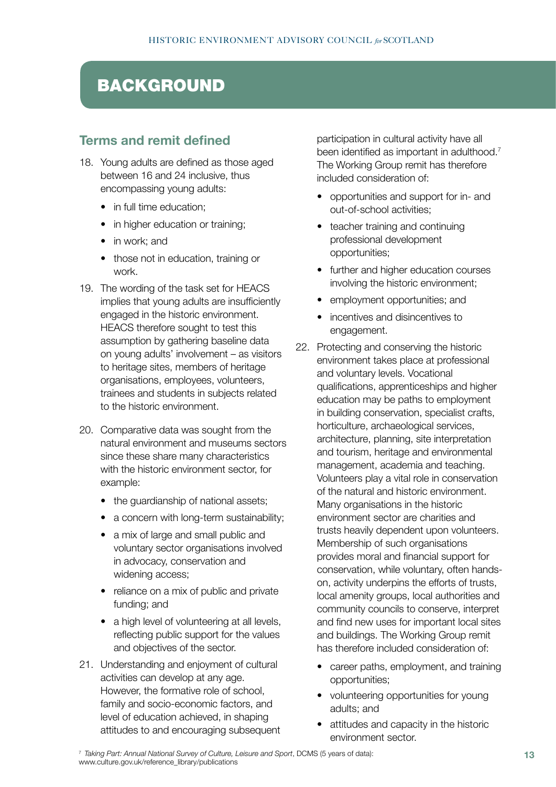# BACKGROUND

### **Terms and remit defined**

- 18. Young adults are defined as those aged between 16 and 24 inclusive, thus encompassing young adults:
	- in full time education:
	- in higher education or training;
	- in work: and
	- those not in education, training or work.
- 19. The wording of the task set for HEACS implies that young adults are insufficiently engaged in the historic environment. HEACS therefore sought to test this assumption by gathering baseline data on young adults' involvement – as visitors to heritage sites, members of heritage organisations, employees, volunteers, trainees and students in subjects related to the historic environment.
- 20. Comparative data was sought from the natural environment and museums sectors since these share many characteristics with the historic environment sector, for example:
	- the guardianship of national assets;
	- a concern with long-term sustainability;
	- a mix of large and small public and voluntary sector organisations involved in advocacy, conservation and widening access;
	- reliance on a mix of public and private funding; and
	- a high level of volunteering at all levels, reflecting public support for the values and objectives of the sector.
- 21. Understanding and enjoyment of cultural activities can develop at any age. However, the formative role of school, family and socio-economic factors, and level of education achieved, in shaping attitudes to and encouraging subsequent

participation in cultural activity have all been identified as important in adulthood.<sup>7</sup> The Working Group remit has therefore included consideration of:

- opportunities and support for in- and out-of-school activities;
- teacher training and continuing professional development opportunities;
- further and higher education courses involving the historic environment;
- employment opportunities; and
- incentives and disincentives to engagement.
- 22. Protecting and conserving the historic environment takes place at professional and voluntary levels. Vocational qualifications, apprenticeships and higher education may be paths to employment in building conservation, specialist crafts, horticulture, archaeological services, architecture, planning, site interpretation and tourism, heritage and environmental management, academia and teaching. Volunteers play a vital role in conservation of the natural and historic environment. Many organisations in the historic environment sector are charities and trusts heavily dependent upon volunteers. Membership of such organisations provides moral and financial support for conservation, while voluntary, often handson, activity underpins the efforts of trusts, local amenity groups, local authorities and community councils to conserve, interpret and find new uses for important local sites and buildings. The Working Group remit has therefore included consideration of:
	- career paths, employment, and training opportunities;
	- volunteering opportunities for young adults; and
	- attitudes and capacity in the historic environment sector.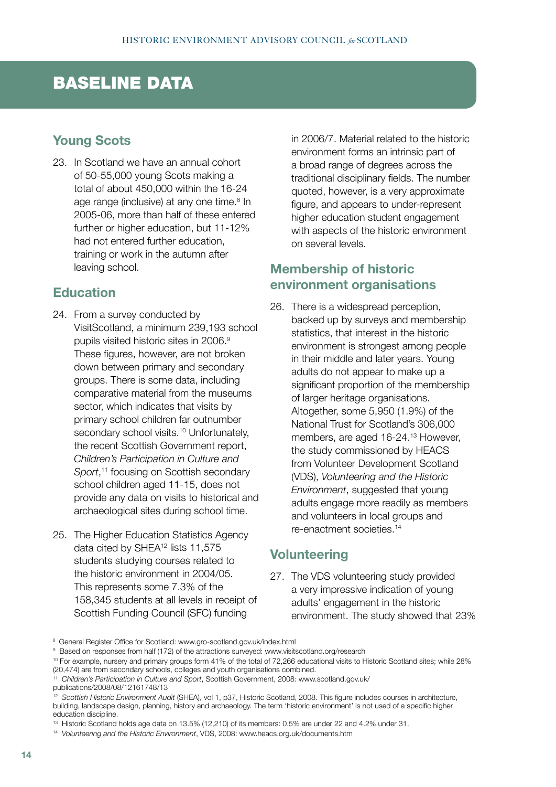# BASELINE DATA

# **Young Scots**

23. In Scotland we have an annual cohort of 50-55,000 young Scots making a total of about 450,000 within the 16-24 age range (inclusive) at any one time.<sup>8</sup> In 2005-06, more than half of these entered further or higher education, but 11-12% had not entered further education, training or work in the autumn after leaving school.

#### **Education**

- 24. From a survey conducted by VisitScotland, a minimum 239,193 school pupils visited historic sites in 2006.9 These figures, however, are not broken down between primary and secondary groups. There is some data, including comparative material from the museums sector, which indicates that visits by primary school children far outnumber secondary school visits.<sup>10</sup> Unfortunately, the recent Scottish Government report, *Children's Participation in Culture and*  Sport,<sup>11</sup> focusing on Scottish secondary school children aged 11-15, does not provide any data on visits to historical and archaeological sites during school time.
- 25. The Higher Education Statistics Agency data cited by SHEA<sup>12</sup> lists 11,575 students studying courses related to the historic environment in 2004/05. This represents some 7.3% of the 158,345 students at all levels in receipt of Scottish Funding Council (SFC) funding

in 2006/7. Material related to the historic environment forms an intrinsic part of a broad range of degrees across the traditional disciplinary fields. The number quoted, however, is a very approximate figure, and appears to under-represent higher education student engagement with aspects of the historic environment on several levels.

# **Membership of historic environment organisations**

26. There is a widespread perception, backed up by surveys and membership statistics, that interest in the historic environment is strongest among people in their middle and later years. Young adults do not appear to make up a significant proportion of the membership of larger heritage organisations. Altogether, some 5,950 (1.9%) of the National Trust for Scotland's 306,000 members, are aged 16-24.<sup>13</sup> However, the study commissioned by HEACS from Volunteer Development Scotland (VDS), *Volunteering and the Historic Environment*, suggested that young adults engage more readily as members and volunteers in local groups and re-enactment societies.14

#### **Volunteering**

27. The VDS volunteering study provided a very impressive indication of young adults' engagement in the historic environment. The study showed that 23%

11 *Children's Participation in Culture and Sport*, Scottish Government, 2008: www.scotland.gov.uk/

<sup>&</sup>lt;sup>8</sup> General Register Office for Scotland: www.gro-scotland.gov.uk/index.html

 $9$  Based on responses from half (172) of the attractions surveyed: www.visitscotland.org/research

<sup>10</sup> For example, nursery and primary groups form 41% of the total of 72,266 educational visits to Historic Scotland sites; while 28% (20,474) are from secondary schools, colleges and youth organisations combined.

publications/2008/08/12161748/13

<sup>12</sup> *Scottish Historic Environment Audit* (SHEA), vol 1, p37, Historic Scotland, 2008. This figure includes courses in architecture, building, landscape design, planning, history and archaeology. The term 'historic environment' is not used of a specific higher education discipline.

<sup>13</sup> Historic Scotland holds age data on 13.5% (12,210) of its members: 0.5% are under 22 and 4.2% under 31.

<sup>14</sup> *Volunteering and the Historic Environment*, VDS, 2008: www.heacs.org.uk/documents.htm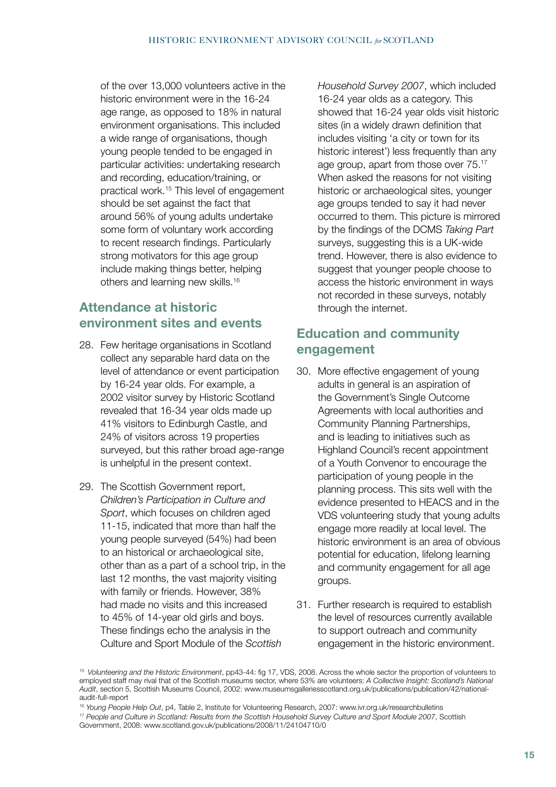of the over 13,000 volunteers active in the historic environment were in the 16-24 age range, as opposed to 18% in natural environment organisations. This included a wide range of organisations, though young people tended to be engaged in particular activities: undertaking research and recording, education/training, or practical work.15 This level of engagement should be set against the fact that around 56% of young adults undertake some form of voluntary work according to recent research findings. Particularly strong motivators for this age group include making things better, helping others and learning new skills.16

# **Attendance at historic environment sites and events**

- 28. Few heritage organisations in Scotland collect any separable hard data on the level of attendance or event participation by 16-24 year olds. For example, a 2002 visitor survey by Historic Scotland revealed that 16-34 year olds made up 41% visitors to Edinburgh Castle, and 24% of visitors across 19 properties surveyed, but this rather broad age-range is unhelpful in the present context.
- 29. The Scottish Government report, *Children's Participation in Culture and Sport*, which focuses on children aged 11-15, indicated that more than half the young people surveyed (54%) had been to an historical or archaeological site, other than as a part of a school trip, in the last 12 months, the vast majority visiting with family or friends. However, 38% had made no visits and this increased to 45% of 14-year old girls and boys. These findings echo the analysis in the Culture and Sport Module of the *Scottish*

*Household Survey 2007*, which included 16-24 year olds as a category. This showed that 16-24 year olds visit historic sites (in a widely drawn definition that includes visiting 'a city or town for its historic interest') less frequently than any age group, apart from those over 75.17 When asked the reasons for not visiting historic or archaeological sites, younger age groups tended to say it had never occurred to them. This picture is mirrored by the findings of the DCMS *Taking Part* surveys, suggesting this is a UK-wide trend. However, there is also evidence to suggest that younger people choose to access the historic environment in ways not recorded in these surveys, notably through the internet.

### **Education and community engagement**

- 30. More effective engagement of young adults in general is an aspiration of the Government's Single Outcome Agreements with local authorities and Community Planning Partnerships, and is leading to initiatives such as Highland Council's recent appointment of a Youth Convenor to encourage the participation of young people in the planning process. This sits well with the evidence presented to HEACS and in the VDS volunteering study that young adults engage more readily at local level. The historic environment is an area of obvious potential for education, lifelong learning and community engagement for all age groups.
- 31. Further research is required to establish the level of resources currently available to support outreach and community engagement in the historic environment.

<sup>15</sup>*Volunteering and the Historic Environment*, pp43-44: fig 17, VDS, 2008. Across the whole sector the proportion of volunteers to employed staff may rival that of the Scottish museums sector, where 53% are volunteers: *A Collective Insight: Scotland's National Audit*, section 5, Scottish Museums Council, 2002: www.museumsgalleriesscotland.org.uk/publications/publication/42/nationalaudit-full-report

<sup>16</sup> *Young People Help Out*, p4, Table 2, Institute for Volunteering Research, 2007: www.ivr.org.uk/researchbulletins

<sup>17</sup> *People and Culture in Scotland: Results from the Scottish Household Survey Culture and Sport Module 2007*, Scottish Government, 2008: www.scotland.gov.uk/publications/2008/11/24104710/0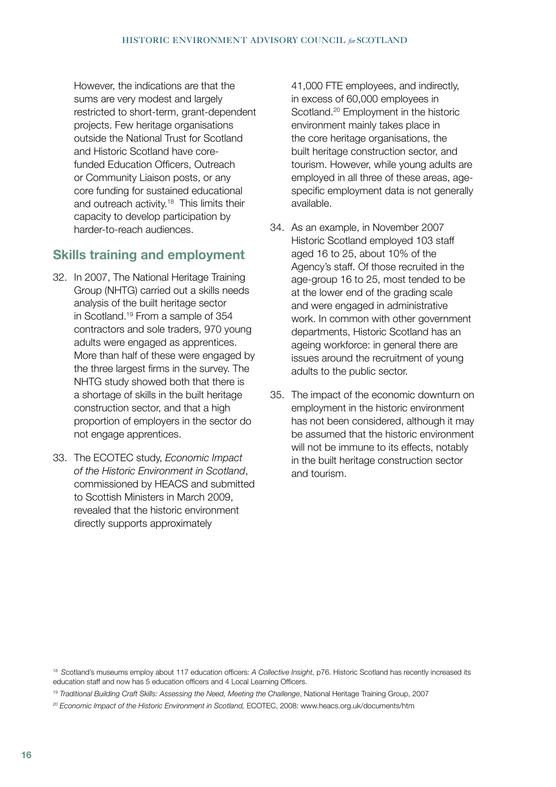However, the indications are that the sums are very modest and largely restricted to short-term, grant-dependent projects. Few heritage organisations outside the National Trust for Scotland and Historic Scotland have corefunded Education Officers, Outreach or Community Liaison posts, or any core funding for sustained educational and outreach activity.<sup>18</sup> This limits their capacity to develop participation by harder-to-reach audiences.

### **Skills training and employment**

- 32. In 2007, The National Heritage Training Group (NHTG) carried out a skills needs analysis of the built heritage sector in Scotland.19 From a sample of 354 contractors and sole traders, 970 young adults were engaged as apprentices. More than half of these were engaged by the three largest firms in the survey. The NHTG study showed both that there is a shortage of skills in the built heritage construction sector, and that a high proportion of employers in the sector do not engage apprentices.
- 33. The ECOTEC study, *Economic Impact of the Historic Environment in Scotland*, commissioned by HEACS and submitted to Scottish Ministers in March 2009, revealed that the historic environment directly supports approximately

41,000 FTE employees, and indirectly, in excess of 60,000 employees in Scotland.<sup>20</sup> Employment in the historic environment mainly takes place in the core heritage organisations, the built heritage construction sector, and tourism. However, while young adults are employed in all three of these areas, agespecific employment data is not generally available.

- 34. As an example, in November 2007 Historic Scotland employed 103 staff aged 16 to 25, about 10% of the Agency's staff. Of those recruited in the age-group 16 to 25, most tended to be at the lower end of the grading scale and were engaged in administrative work. In common with other government departments, Historic Scotland has an ageing workforce: in general there are issues around the recruitment of young adults to the public sector.
- 35. The impact of the economic downturn on employment in the historic environment has not been considered, although it may be assumed that the historic environment will not be immune to its effects, notably in the built heritage construction sector and tourism.

<sup>18</sup>*S*cotland's museums employ about 117 education officers: *A Collective Insight*, p76. Historic Scotland has recently increased its education staff and now has 5 education officers and 4 Local Learning Officers.

<sup>&</sup>lt;sup>19</sup> Traditional Building Craft Skills: Assessing the Need, Meeting the Challenge, National Heritage Training Group, 2007

*<sup>20</sup> Economic Impact of the Historic Environment in Scotland,* ECOTEC, 2008: www.heacs.org.uk/documents/htm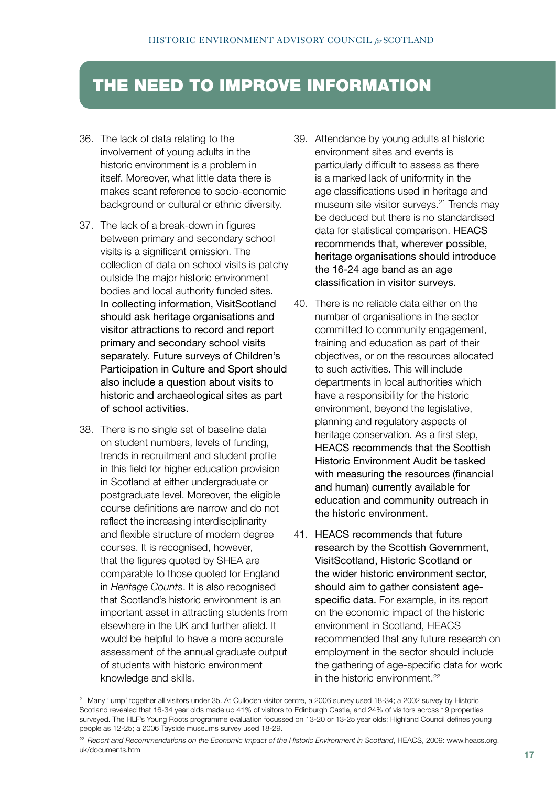# THE NEED TO IMPROVE INFORMATION

- 36. The lack of data relating to the involvement of young adults in the historic environment is a problem in itself. Moreover, what little data there is makes scant reference to socio-economic background or cultural or ethnic diversity.
- 37. The lack of a break-down in figures between primary and secondary school visits is a significant omission. The collection of data on school visits is patchy outside the major historic environment bodies and local authority funded sites. In collecting information, VisitScotland should ask heritage organisations and visitor attractions to record and report primary and secondary school visits separately. Future surveys of Children's Participation in Culture and Sport should also include a question about visits to historic and archaeological sites as part of school activities.
- 38. There is no single set of baseline data on student numbers, levels of funding, trends in recruitment and student profile in this field for higher education provision in Scotland at either undergraduate or postgraduate level. Moreover, the eligible course definitions are narrow and do not reflect the increasing interdisciplinarity and flexible structure of modern degree courses. It is recognised, however, that the figures quoted by SHEA are comparable to those quoted for England in *Heritage Counts*. It is also recognised that Scotland's historic environment is an important asset in attracting students from elsewhere in the UK and further afield. It would be helpful to have a more accurate assessment of the annual graduate output of students with historic environment knowledge and skills.
- 39. Attendance by young adults at historic environment sites and events is particularly difficult to assess as there is a marked lack of uniformity in the age classifications used in heritage and museum site visitor surveys.<sup>21</sup> Trends may be deduced but there is no standardised data for statistical comparison. HEACS recommends that, wherever possible, heritage organisations should introduce the 16-24 age band as an age classification in visitor surveys.
- 40. There is no reliable data either on the number of organisations in the sector committed to community engagement, training and education as part of their objectives, or on the resources allocated to such activities. This will include departments in local authorities which have a responsibility for the historic environment, beyond the legislative, planning and regulatory aspects of heritage conservation. As a first step, HEACS recommends that the Scottish Historic Environment Audit be tasked with measuring the resources (financial and human) currently available for education and community outreach in the historic environment.
- 41. HEACS recommends that future research by the Scottish Government, VisitScotland, Historic Scotland or the wider historic environment sector, should aim to gather consistent agespecific data. For example, in its report on the economic impact of the historic environment in Scotland, HEACS recommended that any future research on employment in the sector should include the gathering of age-specific data for work in the historic environment.<sup>22</sup>

<sup>&</sup>lt;sup>21</sup> Many 'lump' together all visitors under 35. At Culloden visitor centre, a 2006 survey used 18-34; a 2002 survey by Historic Scotland revealed that 16-34 year olds made up 41% of visitors to Edinburgh Castle, and 24% of visitors across 19 properties surveyed. The HLF's Young Roots programme evaluation focussed on 13-20 or 13-25 year olds; Highland Council defines young people as 12-25; a 2006 Tayside museums survey used 18-29.

<sup>2</sup><sup>2</sup>*Report and Recommendations on the Economic Impact of the Historic Environment in Scotland*, HEACS, 2009: www.heacs.org. uk/documents.htm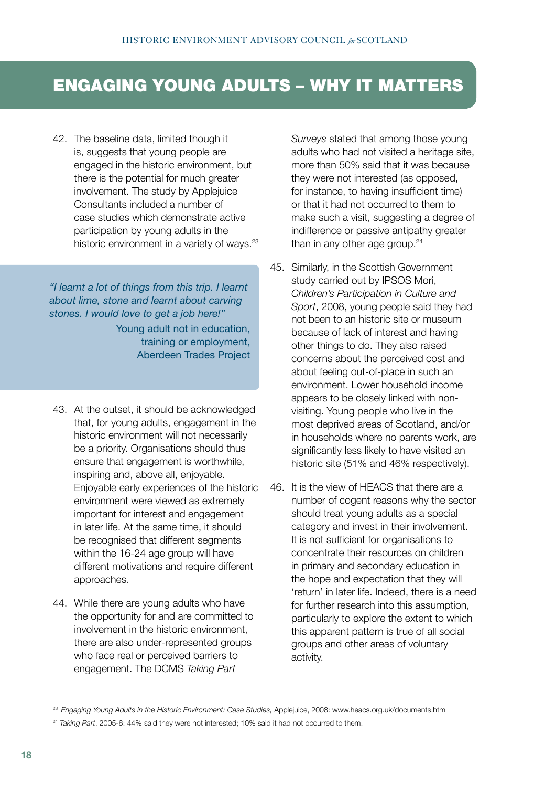# ENGAGING YOUNG ADULTS – WHY IT MATTERS

42. The baseline data, limited though it is, suggests that young people are engaged in the historic environment, but there is the potential for much greater involvement. The study by Applejuice Consultants included a number of case studies which demonstrate active participation by young adults in the historic environment in a variety of ways.<sup>23</sup>

*"I learnt a lot of things from this trip. I learnt about lime, stone and learnt about carving stones. I would love to get a job here!"* 

> Young adult not in education, training or employment, Aberdeen Trades Project

- 43. At the outset, it should be acknowledged that, for young adults, engagement in the historic environment will not necessarily be a priority. Organisations should thus ensure that engagement is worthwhile, inspiring and, above all, enjoyable. Enjoyable early experiences of the historic environment were viewed as extremely important for interest and engagement in later life. At the same time, it should be recognised that different segments within the 16-24 age group will have different motivations and require different approaches.
- 44. While there are young adults who have the opportunity for and are committed to involvement in the historic environment, there are also under-represented groups who face real or perceived barriers to engagement. The DCMS *Taking Part*

*Surveys* stated that among those young adults who had not visited a heritage site, more than 50% said that it was because they were not interested (as opposed, for instance, to having insufficient time) or that it had not occurred to them to make such a visit, suggesting a degree of indifference or passive antipathy greater than in any other age group. $24$ 

- 45. Similarly, in the Scottish Government study carried out by IPSOS Mori, *Children's Participation in Culture and Sport*, 2008, young people said they had not been to an historic site or museum because of lack of interest and having other things to do. They also raised concerns about the perceived cost and about feeling out-of-place in such an environment. Lower household income appears to be closely linked with nonvisiting. Young people who live in the most deprived areas of Scotland, and/or in households where no parents work, are significantly less likely to have visited an historic site (51% and 46% respectively).
- 46. It is the view of HEACS that there are a number of cogent reasons why the sector should treat young adults as a special category and invest in their involvement. It is not sufficient for organisations to concentrate their resources on children in primary and secondary education in the hope and expectation that they will 'return' in later life. Indeed, there is a need for further research into this assumption, particularly to explore the extent to which this apparent pattern is true of all social groups and other areas of voluntary activity.

<sup>&</sup>lt;sup>23</sup> Engaging Young Adults in the Historic Environment: Case Studies, Applejuice, 2008: www.heacs.org.uk/documents.htm

<sup>&</sup>lt;sup>24</sup> Taking Part, 2005-6: 44% said they were not interested; 10% said it had not occurred to them.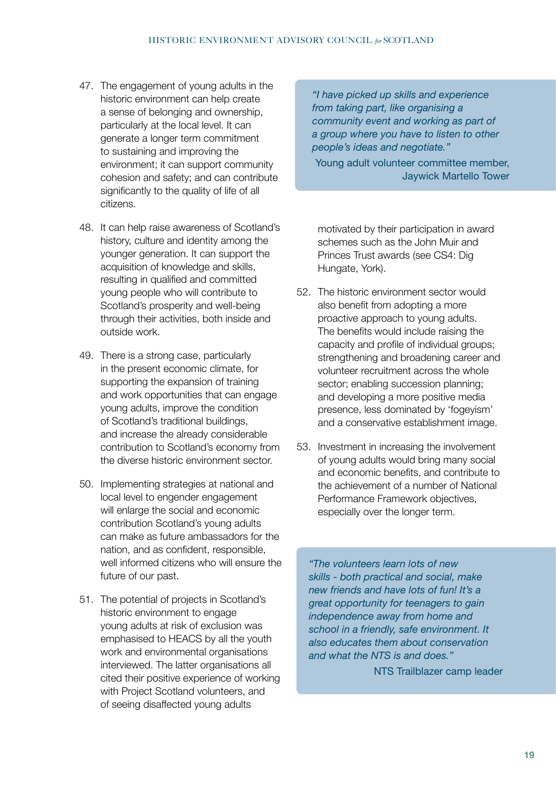- 47. The engagement of young adults in the historic environment can help create a sense of belonging and ownership, particularly at the local level. It can generate a longer term commitment to sustaining and improving the environment; it can support community cohesion and safety; and can contribute significantly to the quality of life of all citizens.
- 48. It can help raise awareness of Scotland's history, culture and identity among the younger generation. It can support the acquisition of knowledge and skills, resulting in qualified and committed young people who will contribute to Scotland's prosperity and well-being through their activities, both inside and outside work.
- 49. There is a strong case, particularly in the present economic climate, for supporting the expansion of training and work opportunities that can engage young adults, improve the condition of Scotland's traditional buildings, and increase the already considerable contribution to Scotland's economy from the diverse historic environment sector.
- 50. Implementing strategies at national and local level to engender engagement will enlarge the social and economic contribution Scotland's young adults can make as future ambassadors for the nation, and as confident, responsible, well informed citizens who will ensure the future of our past.
- 51. The potential of projects in Scotland's historic environment to engage young adults at risk of exclusion was emphasised to HEACS by all the youth work and environmental organisations interviewed. The latter organisations all cited their positive experience of working with Project Scotland volunteers, and of seeing disaffected young adults

*"I have picked up skills and experience from taking part, like organising a community event and working as part of a group where you have to listen to other people's ideas and negotiate."* 

Young adult volunteer committee member, Jaywick Martello Tower

motivated by their participation in award schemes such as the John Muir and Princes Trust awards (see CS4: Dig Hungate, York).

- 52. The historic environment sector would also benefit from adopting a more proactive approach to young adults. The benefits would include raising the capacity and profile of individual groups; strengthening and broadening career and volunteer recruitment across the whole sector; enabling succession planning; and developing a more positive media presence, less dominated by 'fogeyism' and a conservative establishment image.
- 53. Investment in increasing the involvement of young adults would bring many social and economic benefits, and contribute to the achievement of a number of National Performance Framework objectives, especially over the longer term.

*"The volunteers learn lots of new skills - both practical and social, make new friends and have lots of fun! It's a great opportunity for teenagers to gain independence away from home and school in a friendly, safe environment. It also educates them about conservation and what the NTS is and does."*

NTS Trailblazer camp leader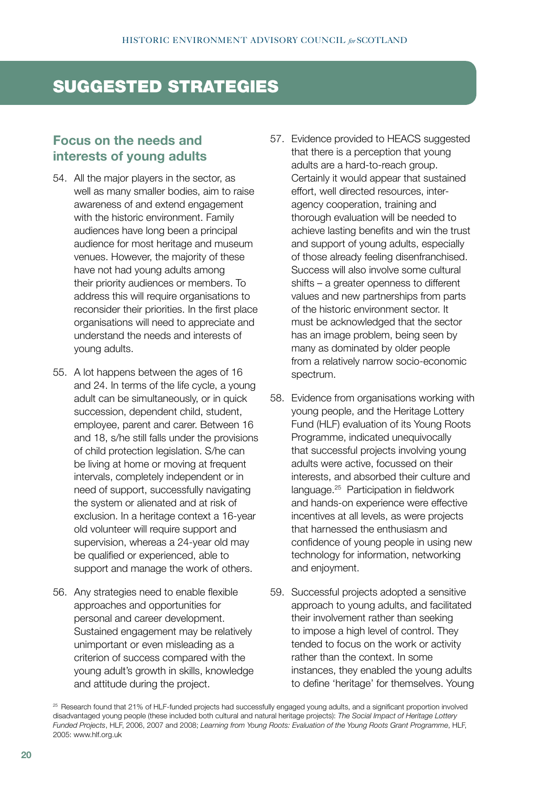# SUGGESTED STRATEGIES

#### **Focus on the needs and interests of young adults**

- 54. All the major players in the sector, as well as many smaller bodies, aim to raise awareness of and extend engagement with the historic environment. Family audiences have long been a principal audience for most heritage and museum venues. However, the majority of these have not had young adults among their priority audiences or members. To address this will require organisations to reconsider their priorities. In the first place organisations will need to appreciate and understand the needs and interests of young adults.
- 55. A lot happens between the ages of 16 and 24. In terms of the life cycle, a young adult can be simultaneously, or in quick succession, dependent child, student, employee, parent and carer. Between 16 and 18, s/he still falls under the provisions of child protection legislation. S/he can be living at home or moving at frequent intervals, completely independent or in need of support, successfully navigating the system or alienated and at risk of exclusion. In a heritage context a 16-year old volunteer will require support and supervision, whereas a 24-year old may be qualified or experienced, able to support and manage the work of others.
- 56. Any strategies need to enable flexible approaches and opportunities for personal and career development. Sustained engagement may be relatively unimportant or even misleading as a criterion of success compared with the young adult's growth in skills, knowledge and attitude during the project.
- 57. Evidence provided to HEACS suggested that there is a perception that young adults are a hard-to-reach group. Certainly it would appear that sustained effort, well directed resources, interagency cooperation, training and thorough evaluation will be needed to achieve lasting benefits and win the trust and support of young adults, especially of those already feeling disenfranchised. Success will also involve some cultural shifts – a greater openness to different values and new partnerships from parts of the historic environment sector. It must be acknowledged that the sector has an image problem, being seen by many as dominated by older people from a relatively narrow socio-economic spectrum.
- 58. Evidence from organisations working with young people, and the Heritage Lottery Fund (HLF) evaluation of its Young Roots Programme, indicated unequivocally that successful projects involving young adults were active, focussed on their interests, and absorbed their culture and language.25 Participation in fieldwork and hands-on experience were effective incentives at all levels, as were projects that harnessed the enthusiasm and confidence of young people in using new technology for information, networking and enjoyment.
- 59. Successful projects adopted a sensitive approach to young adults, and facilitated their involvement rather than seeking to impose a high level of control. They tended to focus on the work or activity rather than the context. In some instances, they enabled the young adults to define 'heritage' for themselves. Young

<sup>25</sup> Research found that 21% of HLF-funded projects had successfully engaged young adults, and a significant proportion involved disadvantaged young people (these included both cultural and natural heritage projects): *The Social Impact of Heritage Lottery Funded Projects*, HLF, 2006, 2007 and 2008; *Learning from Young Roots: Evaluation of the Young Roots Grant Programme*, HLF, 2005: www.hlf.org.uk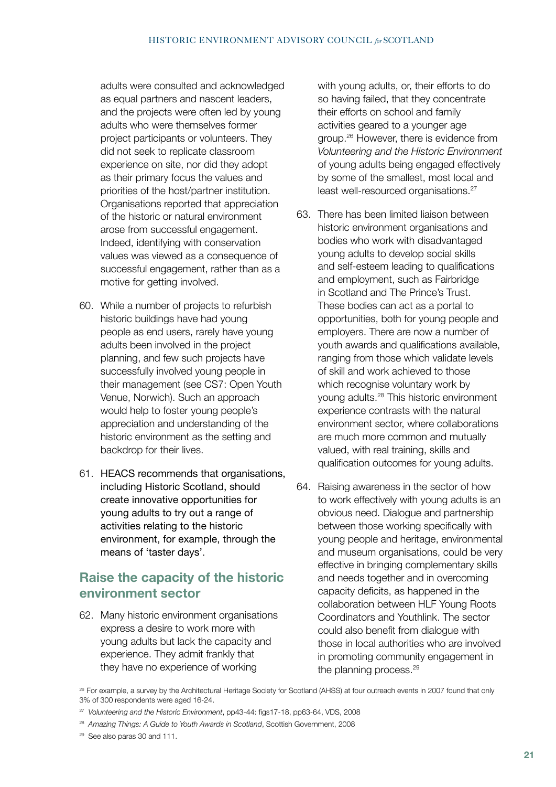adults were consulted and acknowledged as equal partners and nascent leaders, and the projects were often led by young adults who were themselves former project participants or volunteers. They did not seek to replicate classroom experience on site, nor did they adopt as their primary focus the values and priorities of the host/partner institution. Organisations reported that appreciation of the historic or natural environment arose from successful engagement. Indeed, identifying with conservation values was viewed as a consequence of successful engagement, rather than as a motive for getting involved.

- 60. While a number of projects to refurbish historic buildings have had young people as end users, rarely have young adults been involved in the project planning, and few such projects have successfully involved young people in their management (see CS7: Open Youth Venue, Norwich). Such an approach would help to foster young people's appreciation and understanding of the historic environment as the setting and backdrop for their lives.
- 61. HEACS recommends that organisations, including Historic Scotland, should create innovative opportunities for young adults to try out a range of activities relating to the historic environment, for example, through the means of 'taster days'.

# **Raise the capacity of the historic environment sector**

62. Many historic environment organisations express a desire to work more with young adults but lack the capacity and experience. They admit frankly that they have no experience of working

with young adults, or, their efforts to do so having failed, that they concentrate their efforts on school and family activities geared to a younger age group.26 However, there is evidence from *Volunteering and the Historic Environment* of young adults being engaged effectively by some of the smallest, most local and least well-resourced organisations.27

- 63. There has been limited liaison between historic environment organisations and bodies who work with disadvantaged young adults to develop social skills and self-esteem leading to qualifications and employment, such as Fairbridge in Scotland and The Prince's Trust. These bodies can act as a portal to opportunities, both for young people and employers. There are now a number of youth awards and qualifications available, ranging from those which validate levels of skill and work achieved to those which recognise voluntary work by young adults.28 This historic environment experience contrasts with the natural environment sector, where collaborations are much more common and mutually valued, with real training, skills and qualification outcomes for young adults.
- 64. Raising awareness in the sector of how to work effectively with young adults is an obvious need. Dialogue and partnership between those working specifically with young people and heritage, environmental and museum organisations, could be very effective in bringing complementary skills and needs together and in overcoming capacity deficits, as happened in the collaboration between HLF Young Roots Coordinators and Youthlink. The sector could also benefit from dialogue with those in local authorities who are involved in promoting community engagement in the planning process.<sup>29</sup>

<sup>&</sup>lt;sup>26</sup> For example, a survey by the Architectural Heritage Society for Scotland (AHSS) at four outreach events in 2007 found that only 3% of 300 respondents were aged 16-24.

<sup>27</sup> *Volunteering and the Historic Environment*, pp43-44: figs17-18, pp63-64, VDS, 2008

<sup>28</sup> *Amazing Things: A Guide to Youth Awards in Scotland*, Scottish Government, 2008

<sup>29</sup> See also paras 30 and 111.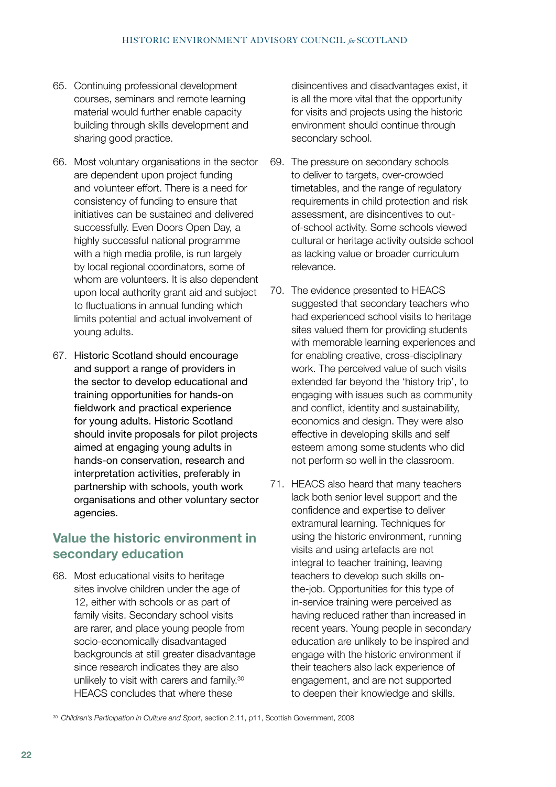- 65. Continuing professional development courses, seminars and remote learning material would further enable capacity building through skills development and sharing good practice.
- 66. Most voluntary organisations in the sector are dependent upon project funding and volunteer effort. There is a need for consistency of funding to ensure that initiatives can be sustained and delivered successfully. Even Doors Open Day, a highly successful national programme with a high media profile, is run largely by local regional coordinators, some of whom are volunteers. It is also dependent upon local authority grant aid and subject to fluctuations in annual funding which limits potential and actual involvement of young adults.
- 67. Historic Scotland should encourage and support a range of providers in the sector to develop educational and training opportunities for hands-on fieldwork and practical experience for young adults. Historic Scotland should invite proposals for pilot projects aimed at engaging young adults in hands-on conservation, research and interpretation activities, preferably in partnership with schools, youth work organisations and other voluntary sector agencies.

# **Value the historic environment in secondary education**

68. Most educational visits to heritage sites involve children under the age of 12, either with schools or as part of family visits. Secondary school visits are rarer, and place young people from socio-economically disadvantaged backgrounds at still greater disadvantage since research indicates they are also unlikely to visit with carers and family.<sup>30</sup> HEACS concludes that where these

disincentives and disadvantages exist, it is all the more vital that the opportunity for visits and projects using the historic environment should continue through secondary school.

- 69. The pressure on secondary schools to deliver to targets, over-crowded timetables, and the range of regulatory requirements in child protection and risk assessment, are disincentives to outof-school activity. Some schools viewed cultural or heritage activity outside school as lacking value or broader curriculum relevance.
- 70. The evidence presented to HEACS suggested that secondary teachers who had experienced school visits to heritage sites valued them for providing students with memorable learning experiences and for enabling creative, cross-disciplinary work. The perceived value of such visits extended far beyond the 'history trip', to engaging with issues such as community and conflict, identity and sustainability, economics and design. They were also effective in developing skills and self esteem among some students who did not perform so well in the classroom.
- 71. HEACS also heard that many teachers lack both senior level support and the confidence and expertise to deliver extramural learning. Techniques for using the historic environment, running visits and using artefacts are not integral to teacher training, leaving teachers to develop such skills onthe-job. Opportunities for this type of in-service training were perceived as having reduced rather than increased in recent years. Young people in secondary education are unlikely to be inspired and engage with the historic environment if their teachers also lack experience of engagement, and are not supported to deepen their knowledge and skills.

30 *Children's Participation in Culture and Sport*, section 2.11, p11, Scottish Government, 2008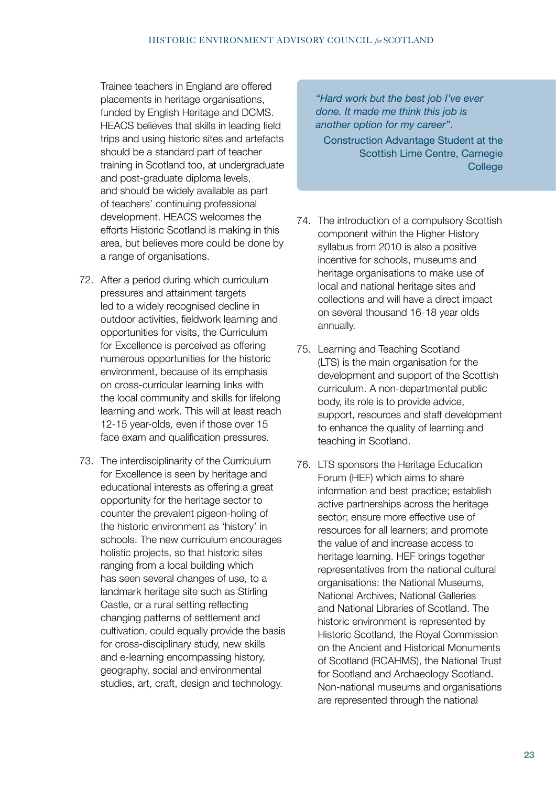Trainee teachers in England are offered placements in heritage organisations, funded by English Heritage and DCMS. HEACS believes that skills in leading field trips and using historic sites and artefacts should be a standard part of teacher training in Scotland too, at undergraduate and post-graduate diploma levels, and should be widely available as part of teachers' continuing professional development. HEACS welcomes the efforts Historic Scotland is making in this area, but believes more could be done by a range of organisations.

- 72. After a period during which curriculum pressures and attainment targets led to a widely recognised decline in outdoor activities, fieldwork learning and opportunities for visits, the Curriculum for Excellence is perceived as offering numerous opportunities for the historic environment, because of its emphasis on cross-curricular learning links with the local community and skills for lifelong learning and work. This will at least reach 12-15 year-olds, even if those over 15 face exam and qualification pressures.
- 73. The interdisciplinarity of the Curriculum for Excellence is seen by heritage and educational interests as offering a great opportunity for the heritage sector to counter the prevalent pigeon-holing of the historic environment as 'history' in schools. The new curriculum encourages holistic projects, so that historic sites ranging from a local building which has seen several changes of use, to a landmark heritage site such as Stirling Castle, or a rural setting reflecting changing patterns of settlement and cultivation, could equally provide the basis for cross-disciplinary study, new skills and e-learning encompassing history, geography, social and environmental studies, art, craft, design and technology.

*"Hard work but the best job I've ever done. It made me think this job is another option for my career"*.

Construction Advantage Student at the Scottish Lime Centre, Carnegie **College** 

- 74. The introduction of a compulsory Scottish component within the Higher History syllabus from 2010 is also a positive incentive for schools, museums and heritage organisations to make use of local and national heritage sites and collections and will have a direct impact on several thousand 16-18 year olds annually.
- 75. Learning and Teaching Scotland (LTS) is the main organisation for the development and support of the Scottish curriculum. A non-departmental public body, its role is to provide advice, support, resources and staff development to enhance the quality of learning and teaching in Scotland.
- 76. LTS sponsors the Heritage Education Forum (HEF) which aims to share information and best practice; establish active partnerships across the heritage sector; ensure more effective use of resources for all learners; and promote the value of and increase access to heritage learning. HEF brings together representatives from the national cultural organisations: the National Museums, National Archives, National Galleries and National Libraries of Scotland. The historic environment is represented by Historic Scotland, the Royal Commission on the Ancient and Historical Monuments of Scotland (RCAHMS), the National Trust for Scotland and Archaeology Scotland. Non-national museums and organisations are represented through the national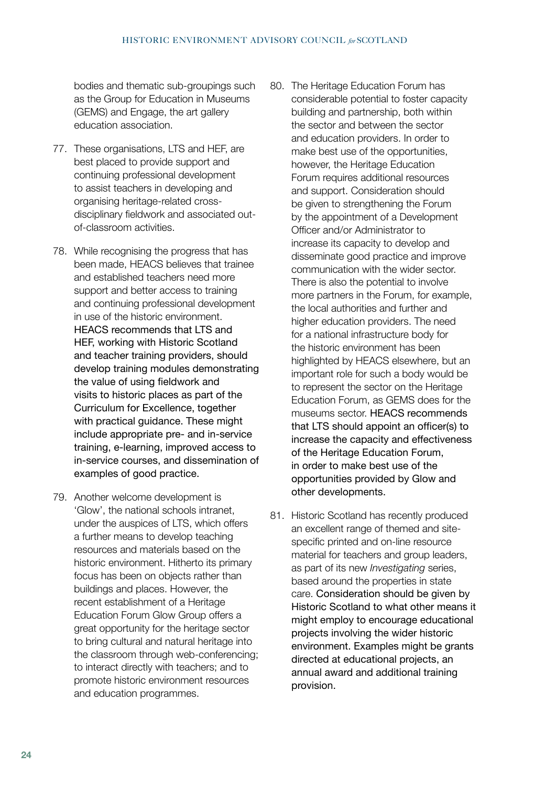bodies and thematic sub-groupings such as the Group for Education in Museums (GEMS) and Engage, the art gallery education association.

- 77. These organisations, LTS and HEF, are best placed to provide support and continuing professional development to assist teachers in developing and organising heritage-related crossdisciplinary fieldwork and associated outof-classroom activities.
- 78. While recognising the progress that has been made, HEACS believes that trainee and established teachers need more support and better access to training and continuing professional development in use of the historic environment. HEACS recommends that LTS and HEF, working with Historic Scotland and teacher training providers, should develop training modules demonstrating the value of using fieldwork and visits to historic places as part of the Curriculum for Excellence, together with practical guidance. These might include appropriate pre- and in-service training, e-learning, improved access to in-service courses, and dissemination of examples of good practice.
- 79. Another welcome development is 'Glow', the national schools intranet, under the auspices of LTS, which offers a further means to develop teaching resources and materials based on the historic environment. Hitherto its primary focus has been on objects rather than buildings and places. However, the recent establishment of a Heritage Education Forum Glow Group offers a great opportunity for the heritage sector to bring cultural and natural heritage into the classroom through web-conferencing; to interact directly with teachers; and to promote historic environment resources and education programmes.
- 80. The Heritage Education Forum has considerable potential to foster capacity building and partnership, both within the sector and between the sector and education providers. In order to make best use of the opportunities, however, the Heritage Education Forum requires additional resources and support. Consideration should be given to strengthening the Forum by the appointment of a Development Officer and/or Administrator to increase its capacity to develop and disseminate good practice and improve communication with the wider sector. There is also the potential to involve more partners in the Forum, for example, the local authorities and further and higher education providers. The need for a national infrastructure body for the historic environment has been highlighted by HEACS elsewhere, but an important role for such a body would be to represent the sector on the Heritage Education Forum, as GEMS does for the museums sector. HEACS recommends that LTS should appoint an officer(s) to increase the capacity and effectiveness of the Heritage Education Forum, in order to make best use of the opportunities provided by Glow and other developments.
- 81. Historic Scotland has recently produced an excellent range of themed and sitespecific printed and on-line resource material for teachers and group leaders, as part of its new *Investigating* series, based around the properties in state care. Consideration should be given by Historic Scotland to what other means it might employ to encourage educational projects involving the wider historic environment. Examples might be grants directed at educational projects, an annual award and additional training provision.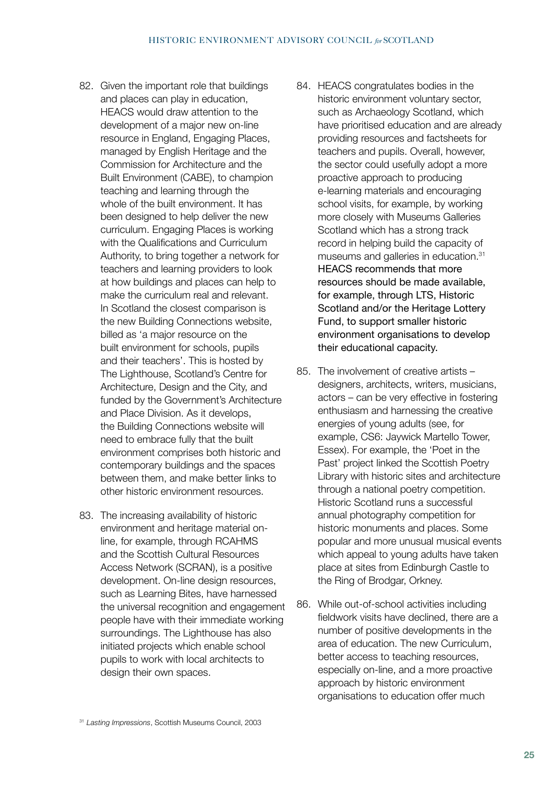- 82. Given the important role that buildings and places can play in education, HEACS would draw attention to the development of a major new on-line resource in England, Engaging Places, managed by English Heritage and the Commission for Architecture and the Built Environment (CABE), to champion teaching and learning through the whole of the built environment. It has been designed to help deliver the new curriculum. Engaging Places is working with the Qualifications and Curriculum Authority, to bring together a network for teachers and learning providers to look at how buildings and places can help to make the curriculum real and relevant. In Scotland the closest comparison is the new Building Connections website, billed as 'a major resource on the built environment for schools, pupils and their teachers'. This is hosted by The Lighthouse, Scotland's Centre for Architecture, Design and the City, and funded by the Government's Architecture and Place Division. As it develops, the Building Connections website will need to embrace fully that the built environment comprises both historic and contemporary buildings and the spaces between them, and make better links to other historic environment resources.
- 83. The increasing availability of historic environment and heritage material online, for example, through RCAHMS and the Scottish Cultural Resources Access Network (SCRAN), is a positive development. On-line design resources, such as Learning Bites, have harnessed the universal recognition and engagement people have with their immediate working surroundings. The Lighthouse has also initiated projects which enable school pupils to work with local architects to design their own spaces.
- 84. HEACS congratulates bodies in the historic environment voluntary sector, such as Archaeology Scotland, which have prioritised education and are already providing resources and factsheets for teachers and pupils. Overall, however, the sector could usefully adopt a more proactive approach to producing e-learning materials and encouraging school visits, for example, by working more closely with Museums Galleries Scotland which has a strong track record in helping build the capacity of museums and galleries in education.31 HEACS recommends that more resources should be made available, for example, through LTS, Historic Scotland and/or the Heritage Lottery Fund, to support smaller historic environment organisations to develop their educational capacity.
- 85. The involvement of creative artists designers, architects, writers, musicians, actors – can be very effective in fostering enthusiasm and harnessing the creative energies of young adults (see, for example, CS6: Jaywick Martello Tower, Essex). For example, the 'Poet in the Past' project linked the Scottish Poetry Library with historic sites and architecture through a national poetry competition. Historic Scotland runs a successful annual photography competition for historic monuments and places. Some popular and more unusual musical events which appeal to young adults have taken place at sites from Edinburgh Castle to the Ring of Brodgar, Orkney.
- 86. While out-of-school activities including fieldwork visits have declined, there are a number of positive developments in the area of education. The new Curriculum, better access to teaching resources, especially on-line, and a more proactive approach by historic environment organisations to education offer much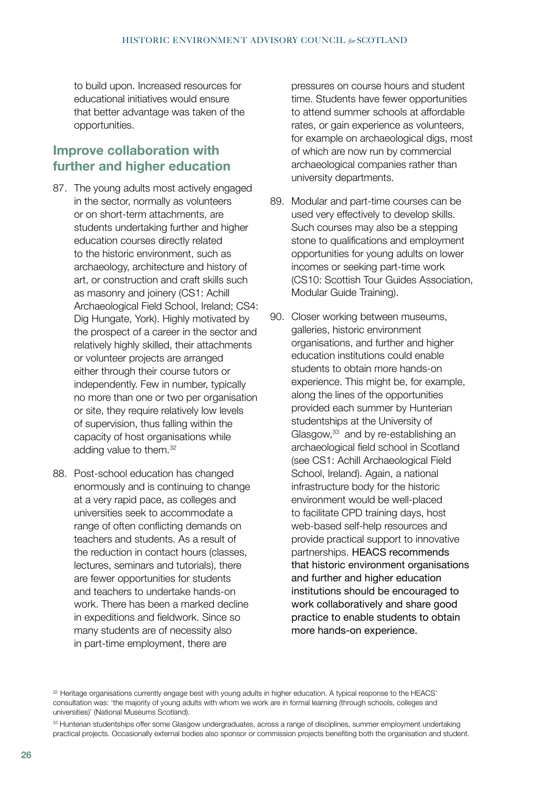to build upon. Increased resources for educational initiatives would ensure that better advantage was taken of the opportunities.

### **Improve collaboration with further and higher education**

- 87. The young adults most actively engaged in the sector, normally as volunteers or on short-term attachments, are students undertaking further and higher education courses directly related to the historic environment, such as archaeology, architecture and history of art, or construction and craft skills such as masonry and joinery (CS1: Achill Archaeological Field School, Ireland; CS4: Dig Hungate, York). Highly motivated by the prospect of a career in the sector and relatively highly skilled, their attachments or volunteer projects are arranged either through their course tutors or independently. Few in number, typically no more than one or two per organisation or site, they require relatively low levels of supervision, thus falling within the capacity of host organisations while adding value to them.<sup>32</sup>
- 88. Post-school education has changed enormously and is continuing to change at a very rapid pace, as colleges and universities seek to accommodate a range of often conflicting demands on teachers and students. As a result of the reduction in contact hours (classes, lectures, seminars and tutorials), there are fewer opportunities for students and teachers to undertake hands-on work. There has been a marked decline in expeditions and fieldwork. Since so many students are of necessity also in part-time employment, there are

pressures on course hours and student time. Students have fewer opportunities to attend summer schools at affordable rates, or gain experience as volunteers, for example on archaeological digs, most of which are now run by commercial archaeological companies rather than university departments.

- 89. Modular and part-time courses can be used very effectively to develop skills. Such courses may also be a stepping stone to qualifications and employment opportunities for young adults on lower incomes or seeking part-time work (CS10: Scottish Tour Guides Association, Modular Guide Training).
- 90. Closer working between museums, galleries, historic environment organisations, and further and higher education institutions could enable students to obtain more hands-on experience. This might be, for example, along the lines of the opportunities provided each summer by Hunterian studentships at the University of Glasgow, $33$  and by re-establishing an archaeological field school in Scotland (see CS1: Achill Archaeological Field School, Ireland). Again, a national infrastructure body for the historic environment would be well-placed to facilitate CPD training days, host web-based self-help resources and provide practical support to innovative partnerships. HEACS recommends that historic environment organisations and further and higher education institutions should be encouraged to work collaboratively and share good practice to enable students to obtain more hands-on experience.

<sup>32</sup> Heritage organisations currently engage best with young adults in higher education. A typical response to the HEACS' consultation was: 'the majority of young adults with whom we work are in formal learning (through schools, colleges and universities)' (National Museums Scotland).

33 Hunterian studentships offer some Glasgow undergraduates, across a range of disciplines, summer employment undertaking practical projects. Occasionally external bodies also sponsor or commission projects benefiting both the organisation and student.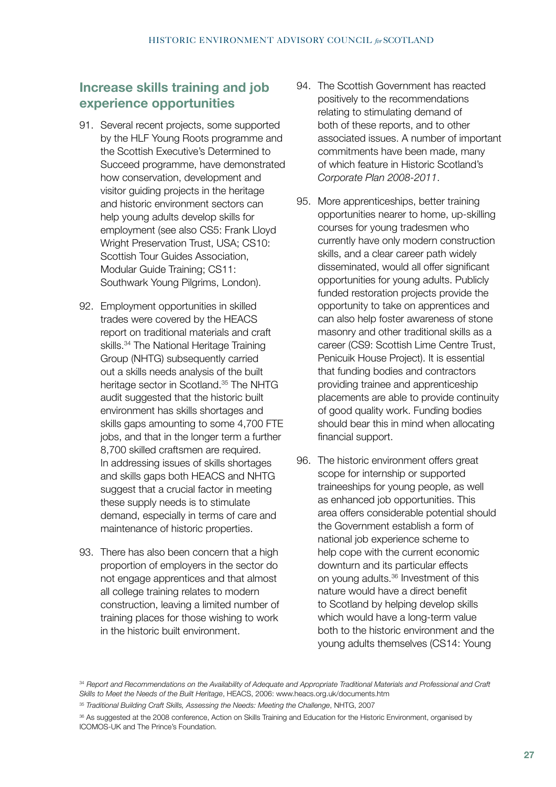### **Increase skills training and job experience opportunities**

- 91. Several recent projects, some supported by the HLF Young Roots programme and the Scottish Executive's Determined to Succeed programme, have demonstrated how conservation, development and visitor guiding projects in the heritage and historic environment sectors can help young adults develop skills for employment (see also CS5: Frank Lloyd Wright Preservation Trust, USA; CS10: Scottish Tour Guides Association, Modular Guide Training; CS11: Southwark Young Pilgrims, London).
- 92. Employment opportunities in skilled trades were covered by the HEACS report on traditional materials and craft skills.<sup>34</sup> The National Heritage Training Group (NHTG) subsequently carried out a skills needs analysis of the built heritage sector in Scotland.<sup>35</sup> The NHTG audit suggested that the historic built environment has skills shortages and skills gaps amounting to some 4,700 FTE jobs, and that in the longer term a further 8,700 skilled craftsmen are required. In addressing issues of skills shortages and skills gaps both HEACS and NHTG suggest that a crucial factor in meeting these supply needs is to stimulate demand, especially in terms of care and maintenance of historic properties.
- 93. There has also been concern that a high proportion of employers in the sector do not engage apprentices and that almost all college training relates to modern construction, leaving a limited number of training places for those wishing to work in the historic built environment.
- 94. The Scottish Government has reacted positively to the recommendations relating to stimulating demand of both of these reports, and to other associated issues. A number of important commitments have been made, many of which feature in Historic Scotland's *Corporate Plan 2008-2011*.
- 95. More apprenticeships, better training opportunities nearer to home, up-skilling courses for young tradesmen who currently have only modern construction skills, and a clear career path widely disseminated, would all offer significant opportunities for young adults. Publicly funded restoration projects provide the opportunity to take on apprentices and can also help foster awareness of stone masonry and other traditional skills as a career (CS9: Scottish Lime Centre Trust, Penicuik House Project). It is essential that funding bodies and contractors providing trainee and apprenticeship placements are able to provide continuity of good quality work. Funding bodies should bear this in mind when allocating financial support.
- 96. The historic environment offers great scope for internship or supported traineeships for young people, as well as enhanced job opportunities. This area offers considerable potential should the Government establish a form of national job experience scheme to help cope with the current economic downturn and its particular effects on young adults.36 Investment of this nature would have a direct benefit to Scotland by helping develop skills which would have a long-term value both to the historic environment and the young adults themselves (CS14: Young

<sup>34</sup>*Report and Recommendations on the Availability of Adequate and Appropriate Traditional Materials and Professional and Craft Skills to Meet the Needs of the Built Heritage*, HEACS, 2006: www.heacs.org.uk/documents.htm

<sup>35</sup> *Traditional Building Craft Skills, Assessing the Needs: Meeting the Challenge*, NHTG, 2007

<sup>&</sup>lt;sup>36</sup> As suggested at the 2008 conference, Action on Skills Training and Education for the Historic Environment, organised by ICOMOS-UK and The Prince's Foundation.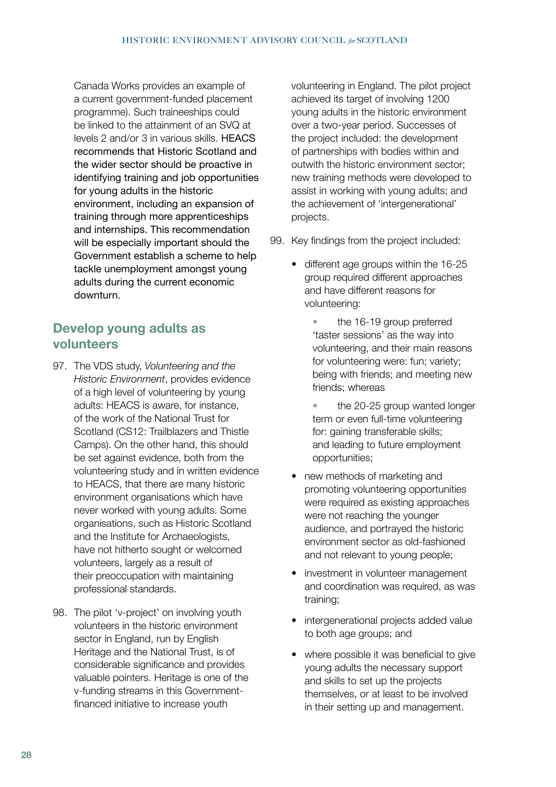Canada Works provides an example of a current government-funded placement programme). Such traineeships could be linked to the attainment of an SVQ at levels 2 and/or 3 in various skills. HEACS recommends that Historic Scotland and the wider sector should be proactive in identifying training and job opportunities for young adults in the historic environment, including an expansion of training through more apprenticeships and internships. This recommendation will be especially important should the Government establish a scheme to help tackle unemployment amongst young adults during the current economic downturn.

### **Develop young adults as volunteers**

- 97. The VDS study, *Volunteering and the Historic Environment*, provides evidence of a high level of volunteering by young adults: HEACS is aware, for instance, of the work of the National Trust for Scotland (CS12: Trailblazers and Thistle Camps). On the other hand, this should be set against evidence, both from the volunteering study and in written evidence to HEACS, that there are many historic environment organisations which have never worked with young adults. Some organisations, such as Historic Scotland and the Institute for Archaeologists, have not hitherto sought or welcomed volunteers, largely as a result of their preoccupation with maintaining professional standards.
- 98. The pilot 'v-project' on involving youth volunteers in the historic environment sector in England, run by English Heritage and the National Trust, is of considerable significance and provides valuable pointers. Heritage is one of the v-funding streams in this Governmentfinanced initiative to increase youth

volunteering in England. The pilot project achieved its target of involving 1200 young adults in the historic environment over a two-year period. Successes of the project included: the development of partnerships with bodies within and outwith the historic environment sector; new training methods were developed to assist in working with young adults; and the achievement of 'intergenerational' projects.

- 99. Key findings from the project included:
	- different age groups within the 16-25 group required different approaches and have different reasons for volunteering:

• the 16-19 group preferred 'taster sessions' as the way into volunteering, and their main reasons for volunteering were: fun; variety; being with friends; and meeting new friends; whereas

• the 20-25 group wanted longer term or even full-time volunteering for: gaining transferable skills; and leading to future employment opportunities;

- new methods of marketing and promoting volunteering opportunities were required as existing approaches were not reaching the younger audience, and portrayed the historic environment sector as old-fashioned and not relevant to young people;
- investment in volunteer management and coordination was required, as was training;
- intergenerational projects added value to both age groups; and
- where possible it was beneficial to give young adults the necessary support and skills to set up the projects themselves, or at least to be involved in their setting up and management.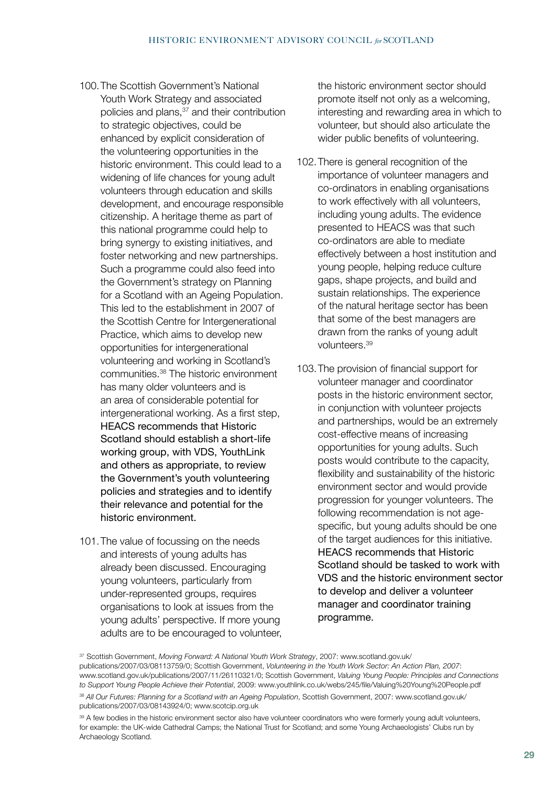- 100.The Scottish Government's National Youth Work Strategy and associated policies and plans,<sup>37</sup> and their contribution to strategic objectives, could be enhanced by explicit consideration of the volunteering opportunities in the historic environment. This could lead to a widening of life chances for young adult volunteers through education and skills development, and encourage responsible citizenship. A heritage theme as part of this national programme could help to bring synergy to existing initiatives, and foster networking and new partnerships. Such a programme could also feed into the Government's strategy on Planning for a Scotland with an Ageing Population. This led to the establishment in 2007 of the Scottish Centre for Intergenerational Practice, which aims to develop new opportunities for intergenerational volunteering and working in Scotland's communities.38 The historic environment has many older volunteers and is an area of considerable potential for intergenerational working. As a first step, HEACS recommends that Historic Scotland should establish a short-life working group, with VDS, YouthLink and others as appropriate, to review the Government's youth volunteering policies and strategies and to identify their relevance and potential for the historic environment.
- 101.The value of focussing on the needs and interests of young adults has already been discussed. Encouraging young volunteers, particularly from under-represented groups, requires organisations to look at issues from the young adults' perspective. If more young adults are to be encouraged to volunteer,

the historic environment sector should promote itself not only as a welcoming, interesting and rewarding area in which to volunteer, but should also articulate the wider public benefits of volunteering.

- 102.There is general recognition of the importance of volunteer managers and co-ordinators in enabling organisations to work effectively with all volunteers, including young adults. The evidence presented to HEACS was that such co-ordinators are able to mediate effectively between a host institution and young people, helping reduce culture gaps, shape projects, and build and sustain relationships. The experience of the natural heritage sector has been that some of the best managers are drawn from the ranks of young adult volunteers.39
- 103.The provision of financial support for volunteer manager and coordinator posts in the historic environment sector, in conjunction with volunteer projects and partnerships, would be an extremely cost-effective means of increasing opportunities for young adults. Such posts would contribute to the capacity, flexibility and sustainability of the historic environment sector and would provide progression for younger volunteers. The following recommendation is not agespecific, but young adults should be one of the target audiences for this initiative. HEACS recommends that Historic Scotland should be tasked to work with VDS and the historic environment sector to develop and deliver a volunteer manager and coordinator training programme.

<sup>37</sup> Scottish Government, Moving Forward: A National Youth Work Strategy, 2007: www.scotland.gov.uk/ publications/2007/03/08113759/0; Scottish Government, *Volunteering in the Youth Work Sector: An Action Plan, 2007*: www.scotland.gov.uk/publications/2007/11/26110321/0; Scottish Government, *Valuing Young People: Principles and Connections to Support Young People Achieve their Potential*, 2009: www.youthlink.co.uk/webs/245/file/Valuing%20Young%20People.pdf <sup>38</sup> *All Our Futures: Planning for a Scotland with an Ageing Population*, Scottish Government, 2007: www.scotland.gov.uk/ publications/2007/03/08143924/0; www.scotcip.org.uk

<sup>39</sup> A few bodies in the historic environment sector also have volunteer coordinators who were formerly young adult volunteers, for example: the UK-wide Cathedral Camps; the National Trust for Scotland; and some Young Archaeologists' Clubs run by Archaeology Scotland.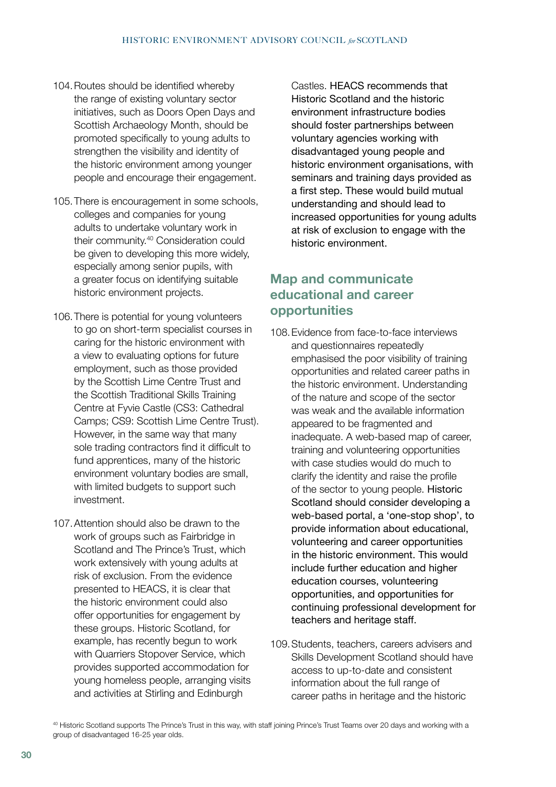- 104.Routes should be identified whereby the range of existing voluntary sector initiatives, such as Doors Open Days and Scottish Archaeology Month, should be promoted specifically to young adults to strengthen the visibility and identity of the historic environment among younger people and encourage their engagement.
- 105.There is encouragement in some schools, colleges and companies for young adults to undertake voluntary work in their community.40 Consideration could be given to developing this more widely, especially among senior pupils, with a greater focus on identifying suitable historic environment projects.
- 106.There is potential for young volunteers to go on short-term specialist courses in caring for the historic environment with a view to evaluating options for future employment, such as those provided by the Scottish Lime Centre Trust and the Scottish Traditional Skills Training Centre at Fyvie Castle (CS3: Cathedral Camps; CS9: Scottish Lime Centre Trust). However, in the same way that many sole trading contractors find it difficult to fund apprentices, many of the historic environment voluntary bodies are small, with limited budgets to support such investment.
- 107.Attention should also be drawn to the work of groups such as Fairbridge in Scotland and The Prince's Trust, which work extensively with young adults at risk of exclusion. From the evidence presented to HEACS, it is clear that the historic environment could also offer opportunities for engagement by these groups. Historic Scotland, for example, has recently begun to work with Quarriers Stopover Service, which provides supported accommodation for young homeless people, arranging visits and activities at Stirling and Edinburgh

Castles. HEACS recommends that Historic Scotland and the historic environment infrastructure bodies should foster partnerships between voluntary agencies working with disadvantaged young people and historic environment organisations, with seminars and training days provided as a first step. These would build mutual understanding and should lead to increased opportunities for young adults at risk of exclusion to engage with the historic environment.

### **Map and communicate educational and career opportunities**

- 108.Evidence from face-to-face interviews and questionnaires repeatedly emphasised the poor visibility of training opportunities and related career paths in the historic environment. Understanding of the nature and scope of the sector was weak and the available information appeared to be fragmented and inadequate. A web-based map of career, training and volunteering opportunities with case studies would do much to clarify the identity and raise the profile of the sector to young people. Historic Scotland should consider developing a web-based portal, a 'one-stop shop', to provide information about educational, volunteering and career opportunities in the historic environment. This would include further education and higher education courses, volunteering opportunities, and opportunities for continuing professional development for teachers and heritage staff.
- 109.Students, teachers, careers advisers and Skills Development Scotland should have access to up-to-date and consistent information about the full range of career paths in heritage and the historic

<sup>&</sup>lt;sup>40</sup> Historic Scotland supports The Prince's Trust in this way, with staff joining Prince's Trust Teams over 20 days and working with a group of disadvantaged 16-25 year olds.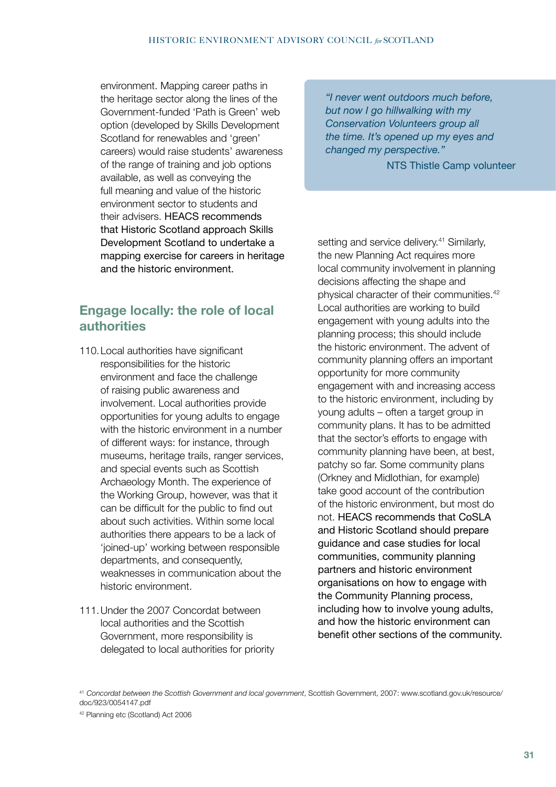environment. Mapping career paths in the heritage sector along the lines of the Government-funded 'Path is Green' web option (developed by Skills Development Scotland for renewables and 'green' careers) would raise students' awareness of the range of training and job options available, as well as conveying the full meaning and value of the historic environment sector to students and their advisers. HEACS recommends that Historic Scotland approach Skills Development Scotland to undertake a mapping exercise for careers in heritage and the historic environment.

# **Engage locally: the role of local authorities**

- 110.Local authorities have significant responsibilities for the historic environment and face the challenge of raising public awareness and involvement. Local authorities provide opportunities for young adults to engage with the historic environment in a number of different ways: for instance, through museums, heritage trails, ranger services, and special events such as Scottish Archaeology Month. The experience of the Working Group, however, was that it can be difficult for the public to find out about such activities. Within some local authorities there appears to be a lack of 'joined-up' working between responsible departments, and consequently, weaknesses in communication about the historic environment.
- 111.Under the 2007 Concordat between local authorities and the Scottish Government, more responsibility is delegated to local authorities for priority

*"I never went outdoors much before, but now I go hillwalking with my Conservation Volunteers group all the time. It's opened up my eyes and changed my perspective."*

NTS Thistle Camp volunteer

setting and service delivery.<sup>41</sup> Similarly, the new Planning Act requires more local community involvement in planning decisions affecting the shape and physical character of their communities.42 Local authorities are working to build engagement with young adults into the planning process; this should include the historic environment. The advent of community planning offers an important opportunity for more community engagement with and increasing access to the historic environment, including by young adults – often a target group in community plans. It has to be admitted that the sector's efforts to engage with community planning have been, at best, patchy so far. Some community plans (Orkney and Midlothian, for example) take good account of the contribution of the historic environment, but most do not. HEACS recommends that CoSLA and Historic Scotland should prepare guidance and case studies for local communities, community planning partners and historic environment organisations on how to engage with the Community Planning process, including how to involve young adults, and how the historic environment can benefit other sections of the community.

<sup>41</sup>*Concordat between the Scottish Government and local government*, Scottish Government, 2007: www.scotland.gov.uk/resource/ doc/923/0054147.pdf

<sup>42</sup> Planning etc (Scotland) Act 2006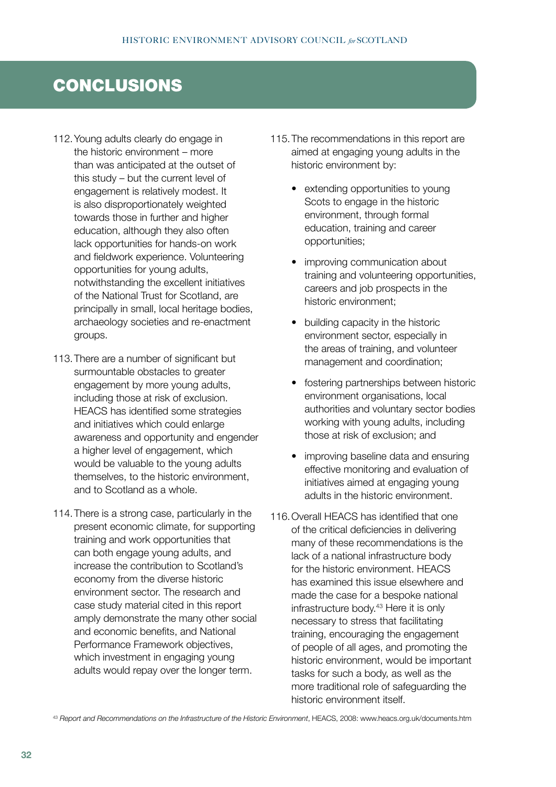# CONCLUSIONS

- 112.Young adults clearly do engage in the historic environment – more than was anticipated at the outset of this study – but the current level of engagement is relatively modest. It is also disproportionately weighted towards those in further and higher education, although they also often lack opportunities for hands-on work and fieldwork experience. Volunteering opportunities for young adults, notwithstanding the excellent initiatives of the National Trust for Scotland, are principally in small, local heritage bodies, archaeology societies and re-enactment groups.
- 113.There are a number of significant but surmountable obstacles to greater engagement by more young adults, including those at risk of exclusion. HEACS has identified some strategies and initiatives which could enlarge awareness and opportunity and engender a higher level of engagement, which would be valuable to the young adults themselves, to the historic environment, and to Scotland as a whole.
- 114.There is a strong case, particularly in the present economic climate, for supporting training and work opportunities that can both engage young adults, and increase the contribution to Scotland's economy from the diverse historic environment sector. The research and case study material cited in this report amply demonstrate the many other social and economic benefits, and National Performance Framework objectives, which investment in engaging young adults would repay over the longer term.
- 115.The recommendations in this report are aimed at engaging young adults in the historic environment by:
	- extending opportunities to young Scots to engage in the historic environment, through formal education, training and career opportunities;
	- improving communication about training and volunteering opportunities, careers and job prospects in the historic environment;
	- building capacity in the historic environment sector, especially in the areas of training, and volunteer management and coordination;
	- fostering partnerships between historic environment organisations, local authorities and voluntary sector bodies working with young adults, including those at risk of exclusion; and
	- improving baseline data and ensuring effective monitoring and evaluation of initiatives aimed at engaging young adults in the historic environment.
- 116.Overall HEACS has identified that one of the critical deficiencies in delivering many of these recommendations is the lack of a national infrastructure body for the historic environment. HEACS has examined this issue elsewhere and made the case for a bespoke national infrastructure body.43 Here it is only necessary to stress that facilitating training, encouraging the engagement of people of all ages, and promoting the historic environment, would be important tasks for such a body, as well as the more traditional role of safeguarding the historic environment itself.

<sup>43</sup> *Report and Recommendations on the Infrastructure of the Historic Environment*, HEACS, 2008: www.heacs.org.uk/documents.htm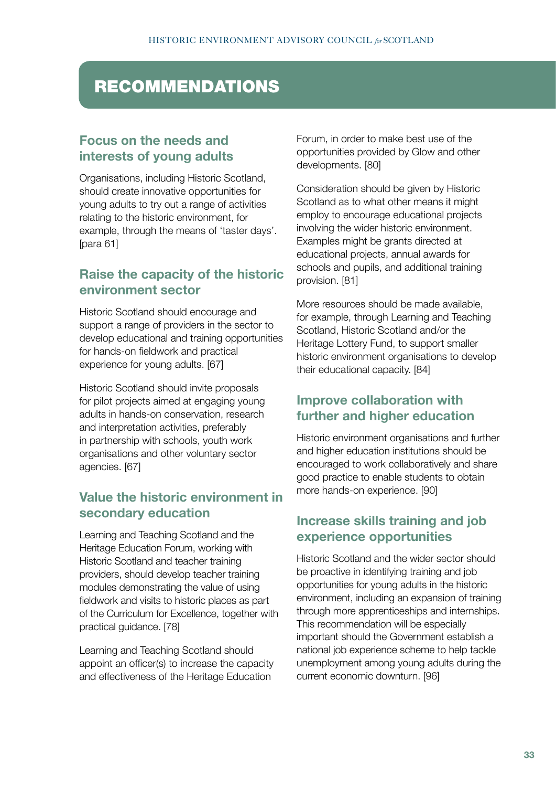# **RECOMMENDATIONS**

# **Focus on the needs and interests of young adults**

Organisations, including Historic Scotland, should create innovative opportunities for young adults to try out a range of activities relating to the historic environment, for example, through the means of 'taster days'. [para 61]

# **Raise the capacity of the historic environment sector**

Historic Scotland should encourage and support a range of providers in the sector to develop educational and training opportunities for hands-on fieldwork and practical experience for young adults. [67]

Historic Scotland should invite proposals for pilot projects aimed at engaging young adults in hands-on conservation, research and interpretation activities, preferably in partnership with schools, youth work organisations and other voluntary sector agencies. [67]

# **Value the historic environment in secondary education**

Learning and Teaching Scotland and the Heritage Education Forum, working with Historic Scotland and teacher training providers, should develop teacher training modules demonstrating the value of using fieldwork and visits to historic places as part of the Curriculum for Excellence, together with practical guidance. [78]

Learning and Teaching Scotland should appoint an officer(s) to increase the capacity and effectiveness of the Heritage Education

Forum, in order to make best use of the opportunities provided by Glow and other developments. [80]

Consideration should be given by Historic Scotland as to what other means it might employ to encourage educational projects involving the wider historic environment. Examples might be grants directed at educational projects, annual awards for schools and pupils, and additional training provision. [81]

More resources should be made available, for example, through Learning and Teaching Scotland, Historic Scotland and/or the Heritage Lottery Fund, to support smaller historic environment organisations to develop their educational capacity. [84]

### **Improve collaboration with further and higher education**

Historic environment organisations and further and higher education institutions should be encouraged to work collaboratively and share good practice to enable students to obtain more hands-on experience. [90]

# **Increase skills training and job experience opportunities**

Historic Scotland and the wider sector should be proactive in identifying training and job opportunities for young adults in the historic environment, including an expansion of training through more apprenticeships and internships. This recommendation will be especially important should the Government establish a national job experience scheme to help tackle unemployment among young adults during the current economic downturn. [96]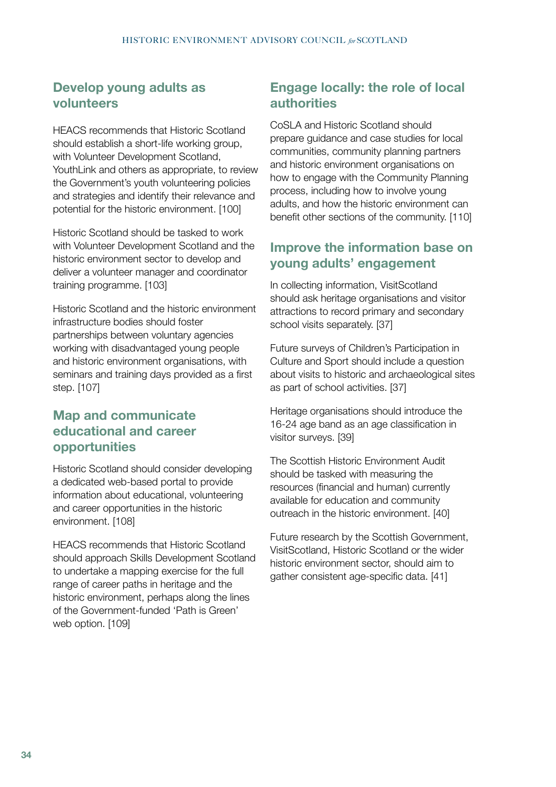#### **Develop young adults as volunteers**

HEACS recommends that Historic Scotland should establish a short-life working group, with Volunteer Development Scotland, YouthLink and others as appropriate, to review the Government's youth volunteering policies and strategies and identify their relevance and potential for the historic environment. [100]

Historic Scotland should be tasked to work with Volunteer Development Scotland and the historic environment sector to develop and deliver a volunteer manager and coordinator training programme. [103]

Historic Scotland and the historic environment infrastructure bodies should foster partnerships between voluntary agencies working with disadvantaged young people and historic environment organisations, with seminars and training days provided as a first step. [107]

# **Map and communicate educational and career opportunities**

Historic Scotland should consider developing a dedicated web-based portal to provide information about educational, volunteering and career opportunities in the historic environment. [108]

HEACS recommends that Historic Scotland should approach Skills Development Scotland to undertake a mapping exercise for the full range of career paths in heritage and the historic environment, perhaps along the lines of the Government-funded 'Path is Green' web option. [109]

# **Engage locally: the role of local authorities**

CoSLA and Historic Scotland should prepare guidance and case studies for local communities, community planning partners and historic environment organisations on how to engage with the Community Planning process, including how to involve young adults, and how the historic environment can benefit other sections of the community. [110]

### **Improve the information base on young adults' engagement**

In collecting information, VisitScotland should ask heritage organisations and visitor attractions to record primary and secondary school visits separately. [37]

Future surveys of Children's Participation in Culture and Sport should include a question about visits to historic and archaeological sites as part of school activities. [37]

Heritage organisations should introduce the 16-24 age band as an age classification in visitor surveys. [39]

The Scottish Historic Environment Audit should be tasked with measuring the resources (financial and human) currently available for education and community outreach in the historic environment. [40]

Future research by the Scottish Government, VisitScotland, Historic Scotland or the wider historic environment sector, should aim to gather consistent age-specific data. [41]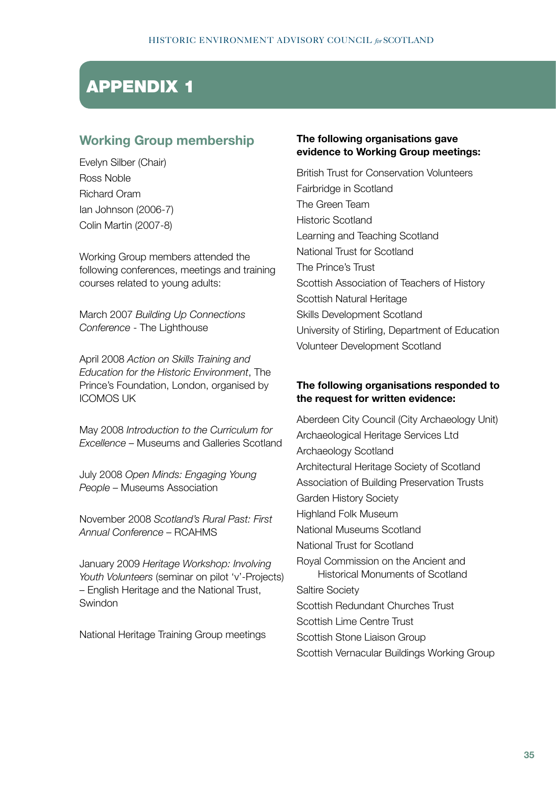# APPENDIX 1

### **Working Group membership**

Evelyn Silber (Chair) Ross Noble Richard Oram Ian Johnson (2006-7) Colin Martin (2007-8)

Working Group members attended the following conferences, meetings and training courses related to young adults:

March 2007 *Building Up Connections Conference* - The Lighthouse

April 2008 *Action on Skills Training and Education for the Historic Environment*, The Prince's Foundation, London, organised by ICOMOS UK

May 2008 *Introduction to the Curriculum for Excellence* – Museums and Galleries Scotland

July 2008 *Open Minds: Engaging Young People* – Museums Association

November 2008 *Scotland's Rural Past: First Annual Conference* – RCAHMS

January 2009 *Heritage Workshop: Involving Youth Volunteers* (seminar on pilot 'v'-Projects) – English Heritage and the National Trust, Swindon

National Heritage Training Group meetings

#### **The following organisations gave evidence to Working Group meetings:**

British Trust for Conservation Volunteers Fairbridge in Scotland The Green Team Historic Scotland Learning and Teaching Scotland National Trust for Scotland The Prince's Trust Scottish Association of Teachers of History Scottish Natural Heritage Skills Development Scotland University of Stirling, Department of Education Volunteer Development Scotland

#### **The following organisations responded to the request for written evidence:**

Aberdeen City Council (City Archaeology Unit) Archaeological Heritage Services Ltd Archaeology Scotland Architectural Heritage Society of Scotland Association of Building Preservation Trusts Garden History Society Highland Folk Museum National Museums Scotland National Trust for Scotland Royal Commission on the Ancient and Historical Monuments of Scotland Saltire Society Scottish Redundant Churches Trust Scottish Lime Centre Trust Scottish Stone Liaison Group Scottish Vernacular Buildings Working Group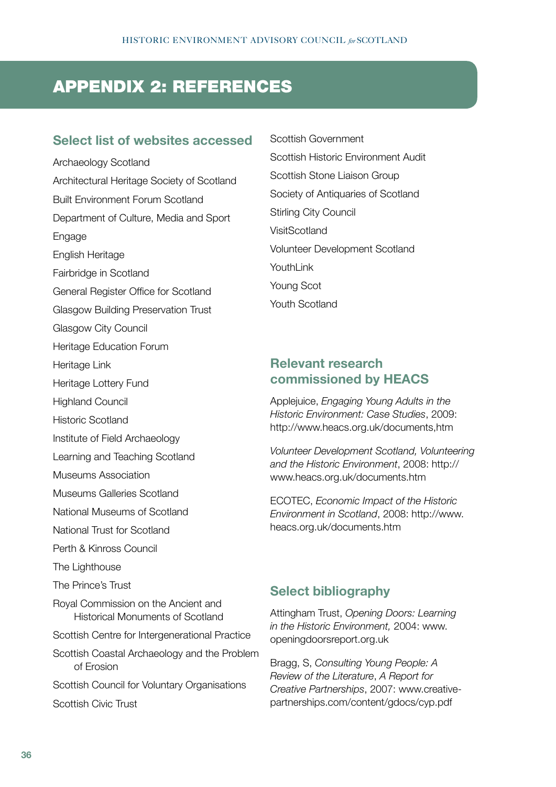# APPENDIX 2: REFERENCES

#### **Select list of websites accessed**

Archaeology Scotland Architectural Heritage Society of Scotland Built Environment Forum Scotland Department of Culture, Media and Sport Engage English Heritage Fairbridge in Scotland General Register Office for Scotland Glasgow Building Preservation Trust Glasgow City Council Heritage Education Forum Heritage Link Heritage Lottery Fund **Highland Council** Historic Scotland Institute of Field Archaeology Learning and Teaching Scotland Museums Association Museums Galleries Scotland National Museums of Scotland National Trust for Scotland Perth & Kinross Council The Lighthouse The Prince's Trust Royal Commission on the Ancient and Historical Monuments of Scotland Scottish Centre for Intergenerational Practice Scottish Coastal Archaeology and the Problem of Erosion Scottish Council for Voluntary Organisations Scottish Civic Trust

Scottish Government Scottish Historic Environment Audit Scottish Stone Liaison Group Society of Antiquaries of Scotland Stirling City Council **VisitScotland** Volunteer Development Scotland YouthLink Young Scot Youth Scotland

#### **Relevant research commissioned by HEACS**

Applejuice, *Engaging Young Adults in the Historic Environment: Case Studies*, 2009: http://www.heacs.org.uk/documents,htm

*Volunteer Development Scotland, Volunteering and the Historic Environment*, 2008: http:// www.heacs.org.uk/documents.htm

ECOTEC, *Economic Impact of the Historic Environment in Scotland*, 2008: http://www. heacs.org.uk/documents.htm

#### **Select bibliography**

Attingham Trust, *Opening Doors: Learning in the Historic Environment,* 2004: www. openingdoorsreport.org.uk

Bragg, S, *Consulting Young People: A Review of the Literature*, *A Report for Creative Partnerships*, 2007: www.creativepartnerships.com/content/gdocs/cyp.pdf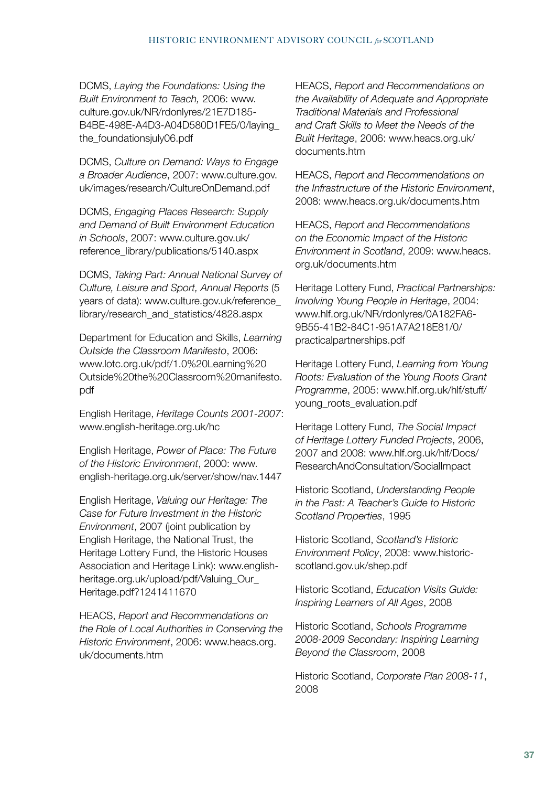DCMS, *Laying the Foundations: Using the Built Environment to Teach,* 2006: www. culture.gov.uk/NR/rdonlyres/21E7D185- B4BE-498E-A4D3-A04D580D1FE5/0/laying\_ the\_foundationsjuly06.pdf

DCMS, *Culture on Demand: Ways to Engage a Broader Audience*, 2007: www.culture.gov. uk/images/research/CultureOnDemand.pdf

DCMS, *Engaging Places Research: Supply and Demand of Built Environment Education in Schools*, 2007: www.culture.gov.uk/ reference\_library/publications/5140.aspx

DCMS, *Taking Part: Annual National Survey of Culture, Leisure and Sport, Annual Reports* (5 years of data): www.culture.gov.uk/reference\_ library/research\_and\_statistics/4828.aspx

Department for Education and Skills, *Learning Outside the Classroom Manifesto*, 2006: www.lotc.org.uk/pdf/1.0%20Learning%20 Outside%20the%20Classroom%20manifesto. pdf

English Heritage, *Heritage Counts 2001-2007*: www.english-heritage.org.uk/hc

English Heritage, *Power of Place: The Future of the Historic Environment*, 2000: www. english-heritage.org.uk/server/show/nav.1447

English Heritage, *Valuing our Heritage: The Case for Future Investment in the Historic Environment*, 2007 (joint publication by English Heritage, the National Trust, the Heritage Lottery Fund, the Historic Houses Association and Heritage Link): www.englishheritage.org.uk/upload/pdf/Valuing\_Our\_ Heritage.pdf?1241411670

HEACS, *Report and Recommendations on the Role of Local Authorities in Conserving the Historic Environment*, 2006: www.heacs.org. uk/documents.htm

HEACS, *Report and Recommendations on the Availability of Adequate and Appropriate Traditional Materials and Professional and Craft Skills to Meet the Needs of the Built Heritage*, 2006: www.heacs.org.uk/ documents.htm

HEACS, *Report and Recommendations on the Infrastructure of the Historic Environment*, 2008: www.heacs.org.uk/documents.htm

HEACS, *Report and Recommendations on the Economic Impact of the Historic Environment in Scotland*, 2009: www.heacs. org.uk/documents.htm

Heritage Lottery Fund, *Practical Partnerships: Involving Young People in Heritage*, 2004: www.hlf.org.uk/NR/rdonlyres/0A182FA6- 9B55-41B2-84C1-951A7A218E81/0/ practicalpartnerships.pdf

Heritage Lottery Fund, *Learning from Young Roots: Evaluation of the Young Roots Grant Programme*, 2005: www.hlf.org.uk/hlf/stuff/ young\_roots\_evaluation.pdf

Heritage Lottery Fund, *The Social Impact of Heritage Lottery Funded Projects*, 2006, 2007 and 2008: www.hlf.org.uk/hlf/Docs/ ResearchAndConsultation/SocialImpact

Historic Scotland, *Understanding People in the Past: A Teacher's Guide to Historic Scotland Properties*, 1995

Historic Scotland, *Scotland's Historic Environment Policy*, 2008: www.historicscotland.gov.uk/shep.pdf

Historic Scotland, *Education Visits Guide: Inspiring Learners of All Ages*, 2008

Historic Scotland, *Schools Programme 2008-2009 Secondary: Inspiring Learning Beyond the Classroom*, 2008

Historic Scotland, *Corporate Plan 2008-11*, 2008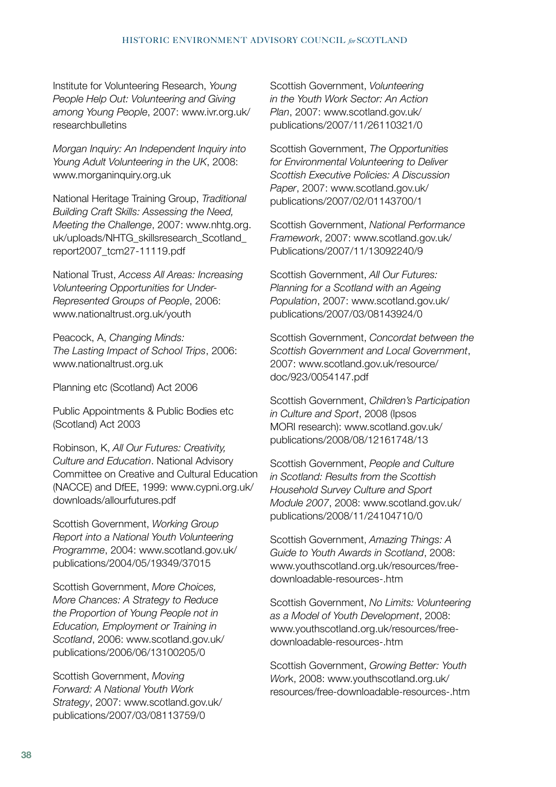Institute for Volunteering Research, *Young People Help Out: Volunteering and Giving among Young People*, 2007: www.ivr.org.uk/ researchbulletins

*Morgan Inquiry: An Independent Inquiry into Young Adult Volunteering in the UK*, 2008: www.morganinquiry.org.uk

National Heritage Training Group, *Traditional Building Craft Skills: Assessing the Need, Meeting the Challenge*, 2007: www.nhtg.org. uk/uploads/NHTG\_skillsresearch\_Scotland\_ report2007\_tcm27-11119.pdf

National Trust, *Access All Areas: Increasing Volunteering Opportunities for Under-Represented Groups of People*, 2006: www.nationaltrust.org.uk/youth

Peacock, A, *Changing Minds: The Lasting Impact of School Trips*, 2006: www.nationaltrust.org.uk

Planning etc (Scotland) Act 2006

Public Appointments & Public Bodies etc (Scotland) Act 2003

Robinson, K, *All Our Futures: Creativity, Culture and Education*. National Advisory Committee on Creative and Cultural Education (NACCE) and DfEE, 1999: www.cypni.org.uk/ downloads/allourfutures.pdf

Scottish Government, *Working Group Report into a National Youth Volunteering Programme*, 2004: www.scotland.gov.uk/ publications/2004/05/19349/37015

Scottish Government, *More Choices, More Chances: A Strategy to Reduce the Proportion of Young People not in Education, Employment or Training in Scotland*, 2006: www.scotland.gov.uk/ publications/2006/06/13100205/0

Scottish Government, *Moving Forward: A National Youth Work Strategy*, 2007: www.scotland.gov.uk/ publications/2007/03/08113759/0

Scottish Government, *Volunteering in the Youth Work Sector: An Action Plan*, 2007: www.scotland.gov.uk/ publications/2007/11/26110321/0

Scottish Government, *The Opportunities for Environmental Volunteering to Deliver Scottish Executive Policies: A Discussion Paper*, 2007: www.scotland.gov.uk/ publications/2007/02/01143700/1

Scottish Government, *National Performance Framework*, 2007: www.scotland.gov.uk/ Publications/2007/11/13092240/9

Scottish Government, *All Our Futures: Planning for a Scotland with an Ageing Population*, 2007: www.scotland.gov.uk/ publications/2007/03/08143924/0

Scottish Government, *Concordat between the Scottish Government and Local Government*, 2007: www.scotland.gov.uk/resource/ doc/923/0054147.pdf

Scottish Government, *Children's Participation in Culture and Sport*, 2008 (Ipsos MORI research): www.scotland.gov.uk/ publications/2008/08/12161748/13

Scottish Government, *People and Culture in Scotland: Results from the Scottish Household Survey Culture and Sport Module 2007*, 2008: www.scotland.gov.uk/ publications/2008/11/24104710/0

Scottish Government, *Amazing Things: A Guide to Youth Awards in Scotland*, 2008: www.youthscotland.org.uk/resources/freedownloadable-resources-.htm

Scottish Government, *No Limits: Volunteering as a Model of Youth Development*, 2008: www.youthscotland.org.uk/resources/freedownloadable-resources-.htm

Scottish Government, *Growing Better: Youth Wor*k, 2008: www.youthscotland.org.uk/ resources/free-downloadable-resources-.htm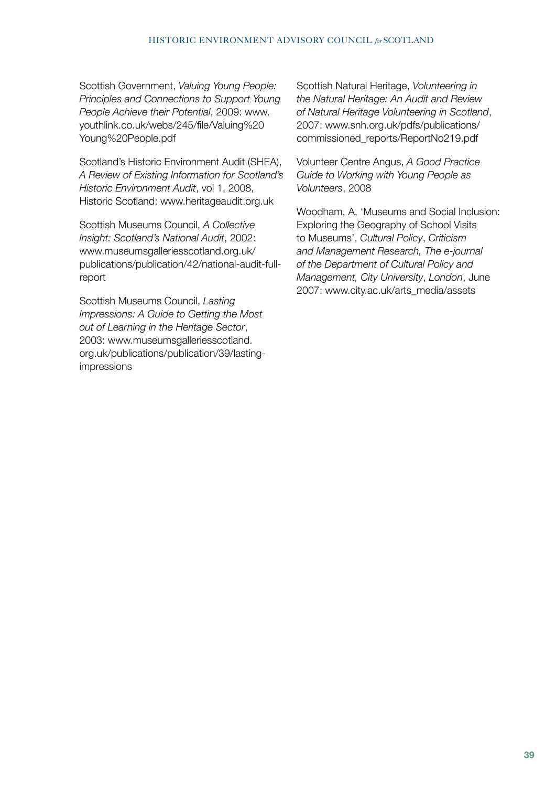Scottish Government, *Valuing Young People: Principles and Connections to Support Young People Achieve their Potential*, 2009: www. youthlink.co.uk/webs/245/file/Valuing%20 Young%20People.pdf

Scotland's Historic Environment Audit (SHEA), *A Review of Existing Information for Scotland's Historic Environment Audit*, vol 1, 2008, Historic Scotland: www.heritageaudit.org.uk

Scottish Museums Council, *A Collective Insight: Scotland's National Audit*, 2002: www.museumsgalleriesscotland.org.uk/ publications/publication/42/national-audit-fullreport

Scottish Museums Council, *Lasting Impressions: A Guide to Getting the Most out of Learning in the Heritage Sector*, 2003: www.museumsgalleriesscotland. org.uk/publications/publication/39/lastingimpressions

Scottish Natural Heritage, *Volunteering in the Natural Heritage: An Audit and Review of Natural Heritage Volunteering in Scotland*, 2007: www.snh.org.uk/pdfs/publications/ commissioned\_reports/ReportNo219.pdf

Volunteer Centre Angus, *A Good Practice Guide to Working with Young People as Volunteers*, 2008

Woodham, A, 'Museums and Social Inclusion: Exploring the Geography of School Visits to Museums', *Cultural Policy*, *Criticism and Management Research, The e-journal of the Department of Cultural Policy and Management, City University*, *London*, June 2007: www.city.ac.uk/arts\_media/assets